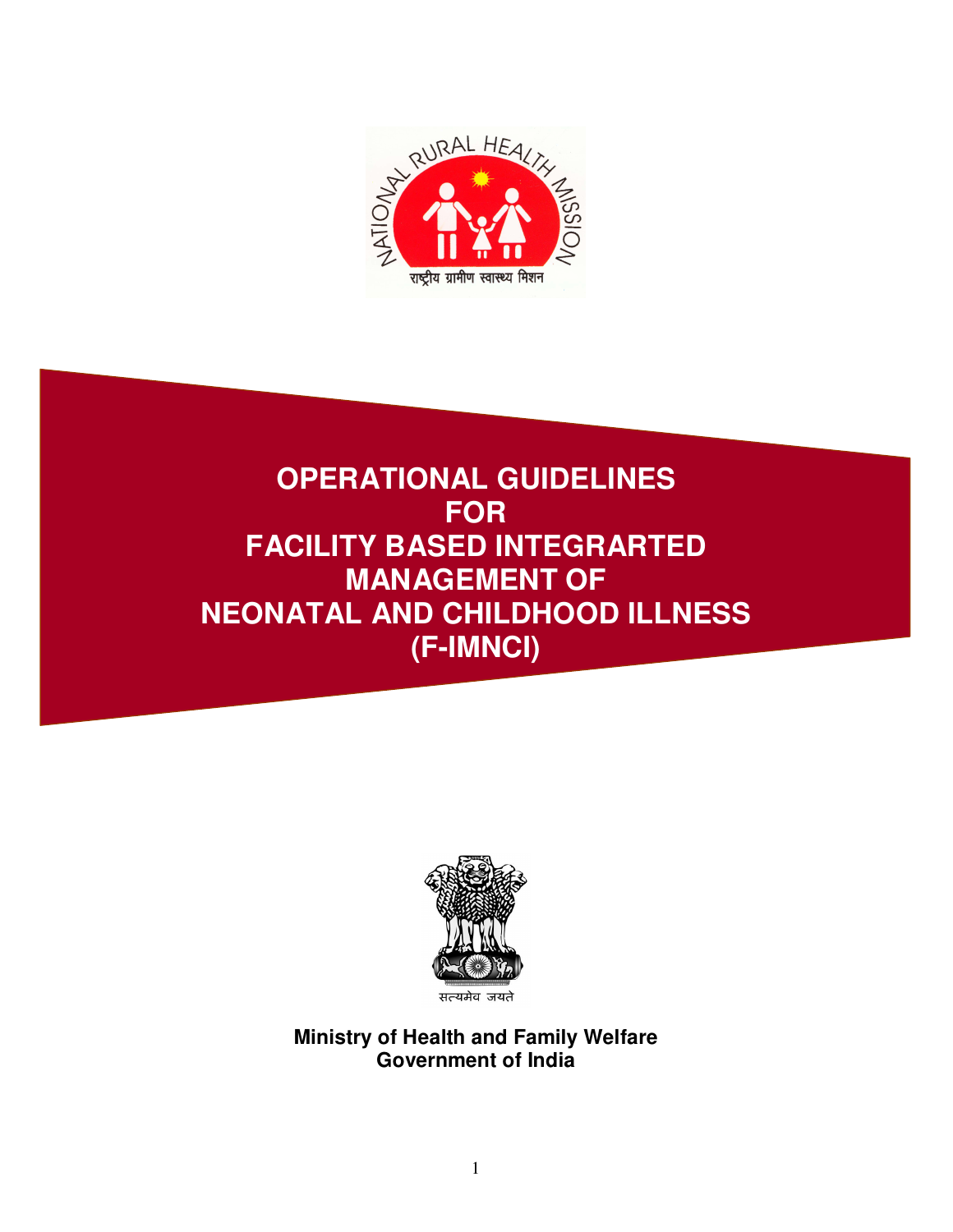

# **OPERATIONAL GUIDELINES FOR FACILITY BASED INTEGRARTED MANAGEMENT OF NEONATAL AND CHILDHOOD ILLNESS (F-IMNCI)**



**Ministry of Health and Family Welfare Government of India**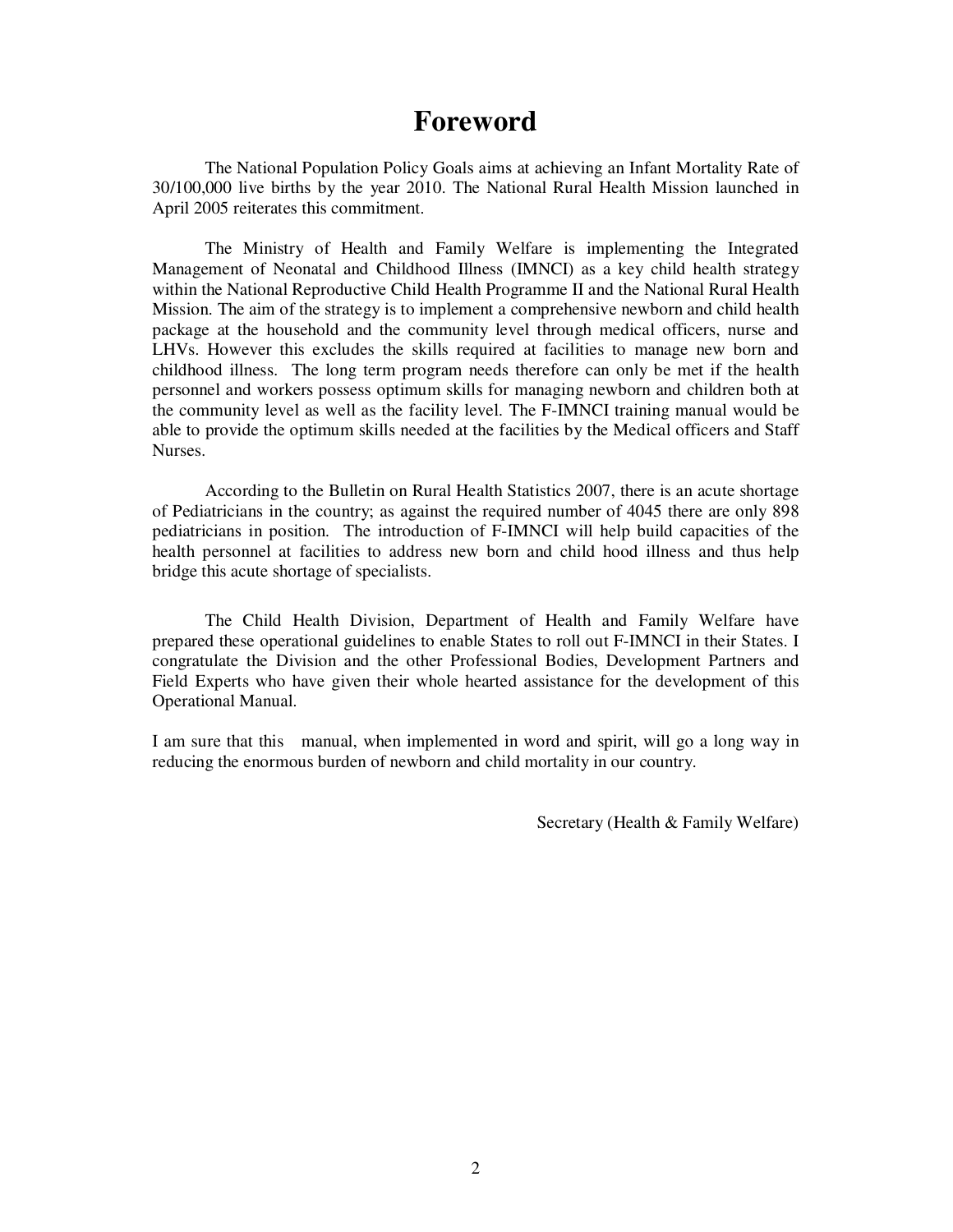# **Foreword**

The National Population Policy Goals aims at achieving an Infant Mortality Rate of 30/100,000 live births by the year 2010. The National Rural Health Mission launched in April 2005 reiterates this commitment.

The Ministry of Health and Family Welfare is implementing the Integrated Management of Neonatal and Childhood Illness (IMNCI) as a key child health strategy within the National Reproductive Child Health Programme II and the National Rural Health Mission. The aim of the strategy is to implement a comprehensive newborn and child health package at the household and the community level through medical officers, nurse and LHVs. However this excludes the skills required at facilities to manage new born and childhood illness. The long term program needs therefore can only be met if the health personnel and workers possess optimum skills for managing newborn and children both at the community level as well as the facility level. The F-IMNCI training manual would be able to provide the optimum skills needed at the facilities by the Medical officers and Staff Nurses.

According to the Bulletin on Rural Health Statistics 2007, there is an acute shortage of Pediatricians in the country; as against the required number of 4045 there are only 898 pediatricians in position. The introduction of F-IMNCI will help build capacities of the health personnel at facilities to address new born and child hood illness and thus help bridge this acute shortage of specialists.

The Child Health Division, Department of Health and Family Welfare have prepared these operational guidelines to enable States to roll out F-IMNCI in their States. I congratulate the Division and the other Professional Bodies, Development Partners and Field Experts who have given their whole hearted assistance for the development of this Operational Manual.

I am sure that this manual, when implemented in word and spirit, will go a long way in reducing the enormous burden of newborn and child mortality in our country.

Secretary (Health & Family Welfare)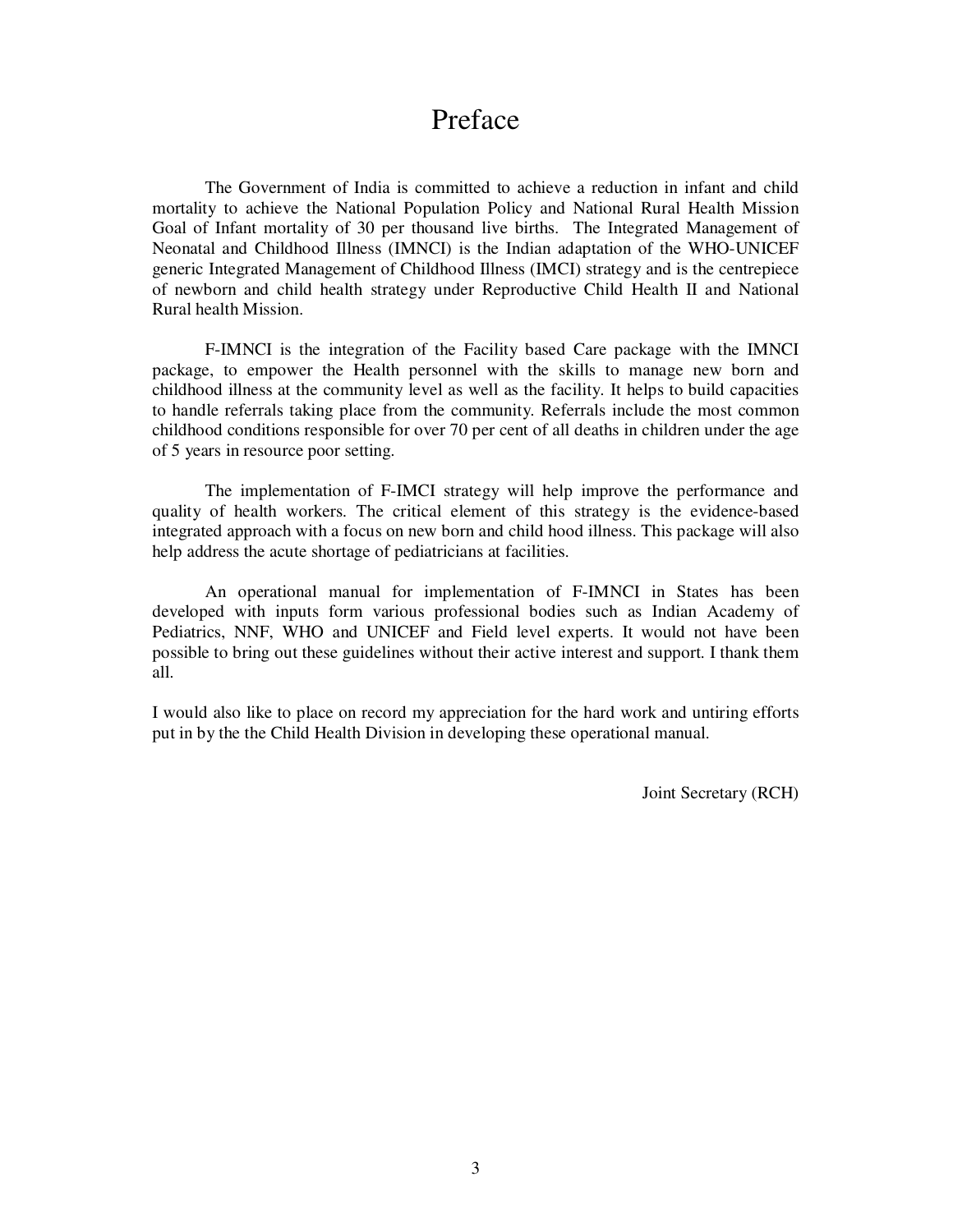# Preface

The Government of India is committed to achieve a reduction in infant and child mortality to achieve the National Population Policy and National Rural Health Mission Goal of Infant mortality of 30 per thousand live births. The Integrated Management of Neonatal and Childhood Illness (IMNCI) is the Indian adaptation of the WHO-UNICEF generic Integrated Management of Childhood Illness (IMCI) strategy and is the centrepiece of newborn and child health strategy under Reproductive Child Health II and National Rural health Mission.

F-IMNCI is the integration of the Facility based Care package with the IMNCI package, to empower the Health personnel with the skills to manage new born and childhood illness at the community level as well as the facility. It helps to build capacities to handle referrals taking place from the community. Referrals include the most common childhood conditions responsible for over 70 per cent of all deaths in children under the age of 5 years in resource poor setting.

The implementation of F-IMCI strategy will help improve the performance and quality of health workers. The critical element of this strategy is the evidence-based integrated approach with a focus on new born and child hood illness. This package will also help address the acute shortage of pediatricians at facilities.

An operational manual for implementation of F-IMNCI in States has been developed with inputs form various professional bodies such as Indian Academy of Pediatrics, NNF, WHO and UNICEF and Field level experts. It would not have been possible to bring out these guidelines without their active interest and support. I thank them all.

I would also like to place on record my appreciation for the hard work and untiring efforts put in by the the Child Health Division in developing these operational manual.

Joint Secretary (RCH)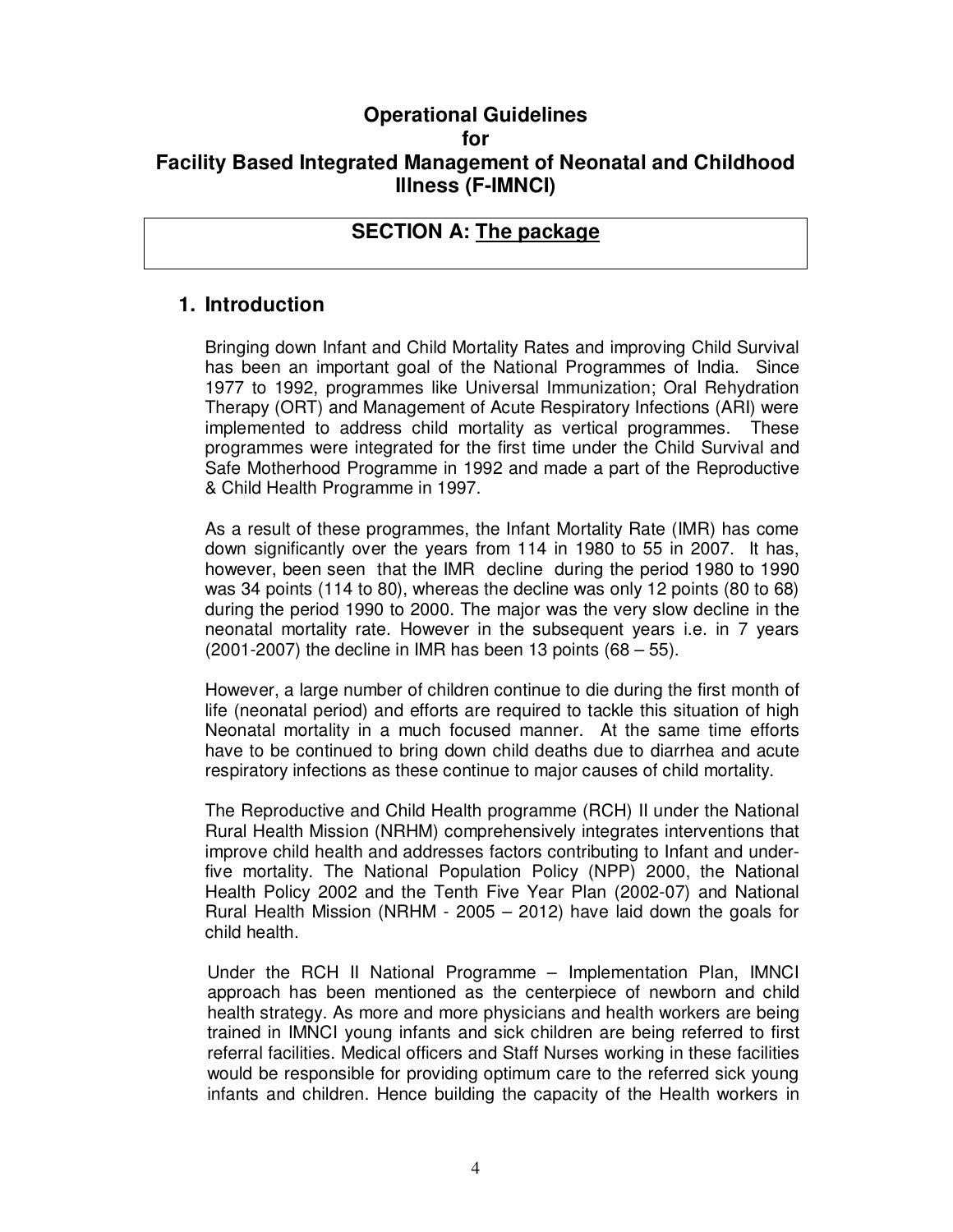### **Operational Guidelines for Facility Based Integrated Management of Neonatal and Childhood Illness (F-IMNCI)**

### **SECTION A: The package**

### **1. Introduction**

Bringing down Infant and Child Mortality Rates and improving Child Survival has been an important goal of the National Programmes of India. Since 1977 to 1992, programmes like Universal Immunization; Oral Rehydration Therapy (ORT) and Management of Acute Respiratory Infections (ARI) were implemented to address child mortality as vertical programmes. These programmes were integrated for the first time under the Child Survival and Safe Motherhood Programme in 1992 and made a part of the Reproductive & Child Health Programme in 1997.

As a result of these programmes, the Infant Mortality Rate (IMR) has come down significantly over the years from 114 in 1980 to 55 in 2007. It has, however, been seen that the IMR decline during the period 1980 to 1990 was 34 points (114 to 80), whereas the decline was only 12 points (80 to 68) during the period 1990 to 2000. The major was the very slow decline in the neonatal mortality rate. However in the subsequent years i.e. in 7 years  $(2001-2007)$  the decline in IMR has been 13 points  $(68-55)$ .

However, a large number of children continue to die during the first month of life (neonatal period) and efforts are required to tackle this situation of high Neonatal mortality in a much focused manner. At the same time efforts have to be continued to bring down child deaths due to diarrhea and acute respiratory infections as these continue to major causes of child mortality.

The Reproductive and Child Health programme (RCH) II under the National Rural Health Mission (NRHM) comprehensively integrates interventions that improve child health and addresses factors contributing to Infant and underfive mortality. The National Population Policy (NPP) 2000, the National Health Policy 2002 and the Tenth Five Year Plan (2002-07) and National Rural Health Mission (NRHM - 2005 – 2012) have laid down the goals for child health.

Under the RCH II National Programme – Implementation Plan, IMNCI approach has been mentioned as the centerpiece of newborn and child health strategy. As more and more physicians and health workers are being trained in IMNCI young infants and sick children are being referred to first referral facilities. Medical officers and Staff Nurses working in these facilities would be responsible for providing optimum care to the referred sick young infants and children. Hence building the capacity of the Health workers in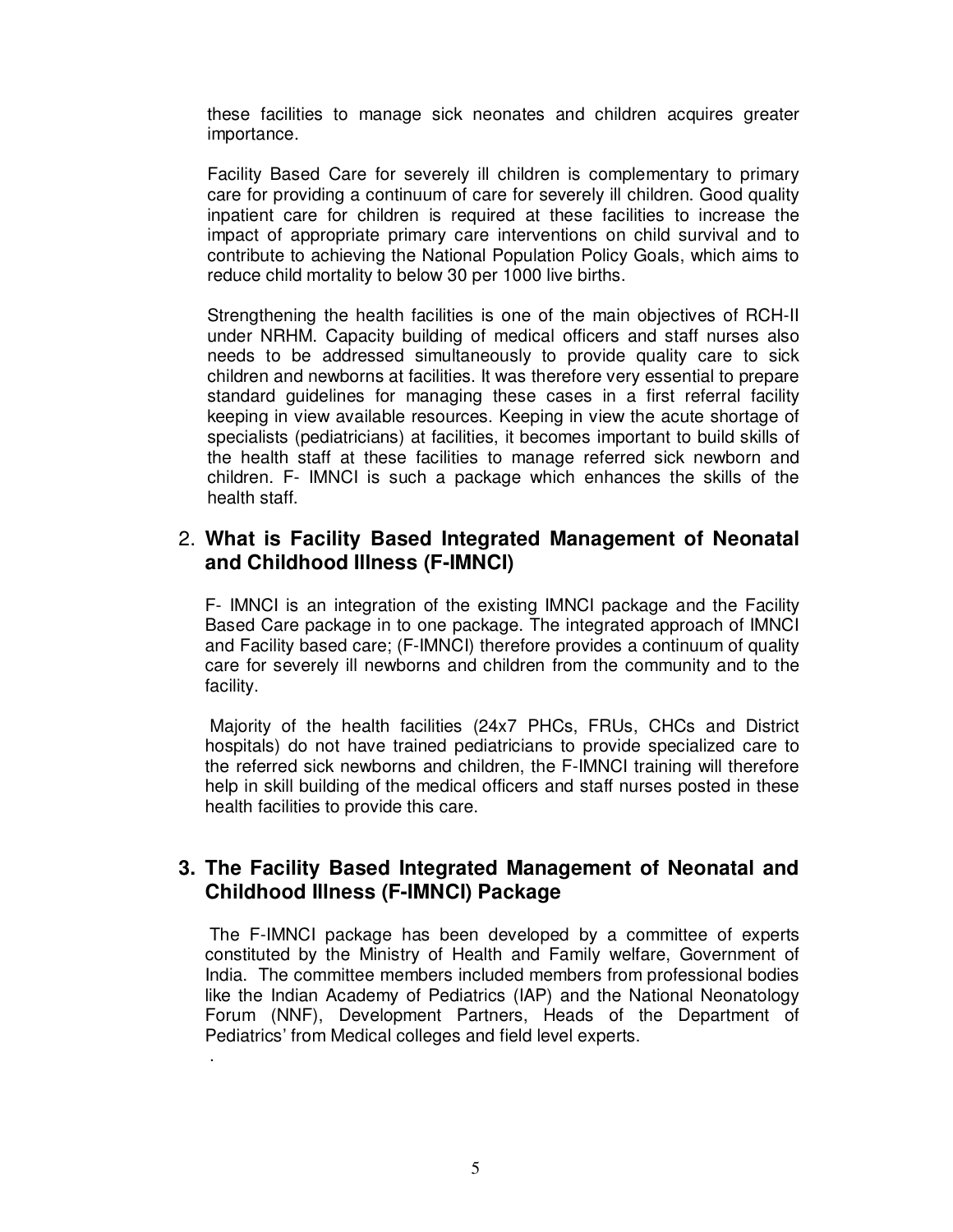these facilities to manage sick neonates and children acquires greater importance.

Facility Based Care for severely ill children is complementary to primary care for providing a continuum of care for severely ill children. Good quality inpatient care for children is required at these facilities to increase the impact of appropriate primary care interventions on child survival and to contribute to achieving the National Population Policy Goals, which aims to reduce child mortality to below 30 per 1000 live births.

Strengthening the health facilities is one of the main objectives of RCH-II under NRHM. Capacity building of medical officers and staff nurses also needs to be addressed simultaneously to provide quality care to sick children and newborns at facilities. It was therefore very essential to prepare standard guidelines for managing these cases in a first referral facility keeping in view available resources. Keeping in view the acute shortage of specialists (pediatricians) at facilities, it becomes important to build skills of the health staff at these facilities to manage referred sick newborn and children. F- IMNCI is such a package which enhances the skills of the health staff.

### 2. **What is Facility Based Integrated Management of Neonatal and Childhood Illness (F-IMNCI)**

F- IMNCI is an integration of the existing IMNCI package and the Facility Based Care package in to one package. The integrated approach of IMNCI and Facility based care; (F-IMNCI) therefore provides a continuum of quality care for severely ill newborns and children from the community and to the facility.

Majority of the health facilities (24x7 PHCs, FRUs, CHCs and District hospitals) do not have trained pediatricians to provide specialized care to the referred sick newborns and children, the F-IMNCI training will therefore help in skill building of the medical officers and staff nurses posted in these health facilities to provide this care.

### **3. The Facility Based Integrated Management of Neonatal and Childhood Illness (F-IMNCI) Package**

The F-IMNCI package has been developed by a committee of experts constituted by the Ministry of Health and Family welfare, Government of India. The committee members included members from professional bodies like the Indian Academy of Pediatrics (IAP) and the National Neonatology Forum (NNF), Development Partners, Heads of the Department of Pediatrics' from Medical colleges and field level experts.

.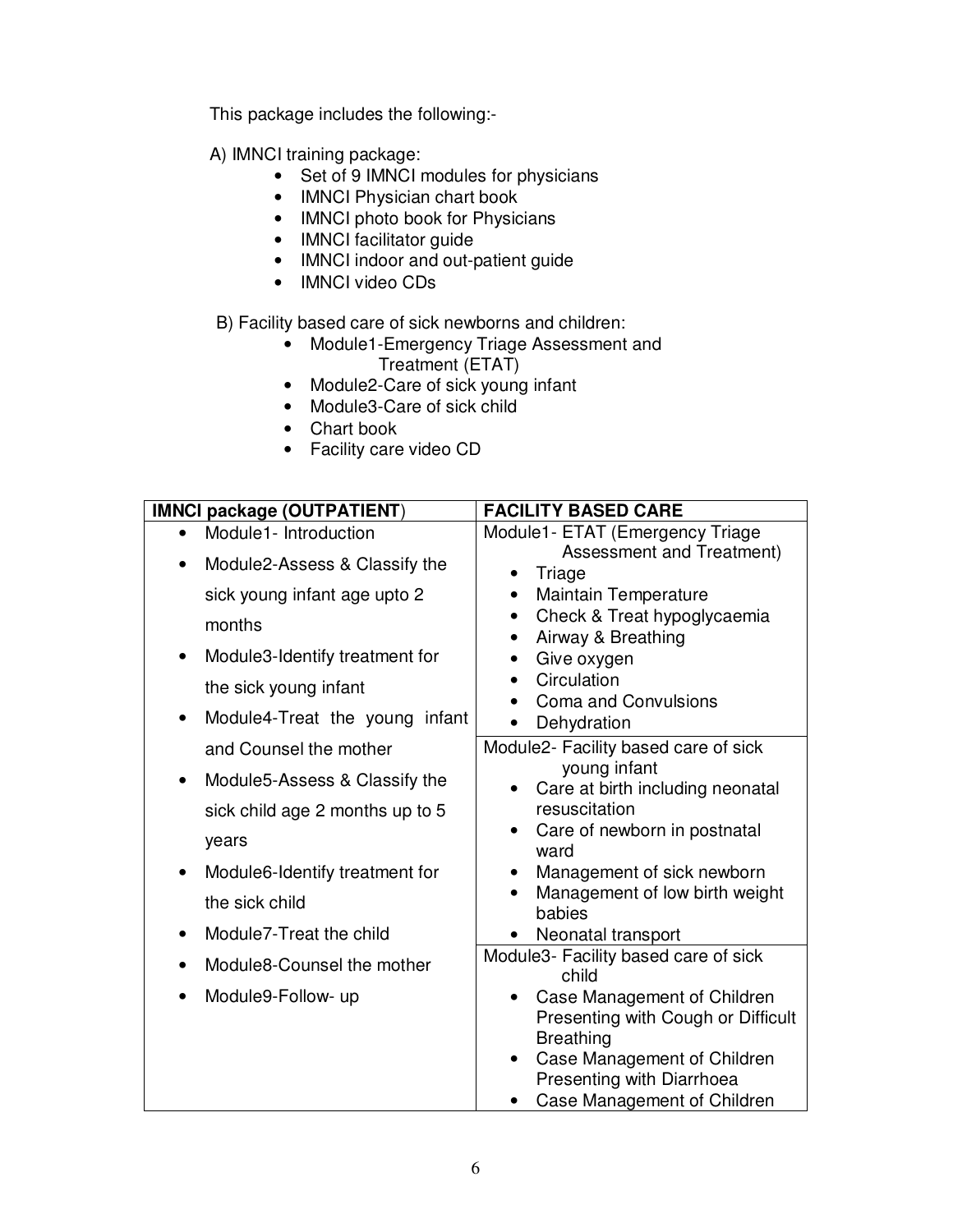This package includes the following:-

A) IMNCI training package:

- Set of 9 IMNCI modules for physicians
- IMNCI Physician chart book
- IMNCI photo book for Physicians
- IMNCI facilitator guide
- IMNCI indoor and out-patient guide
- IMNCI video CDs

B) Facility based care of sick newborns and children:

- Module1-Emergency Triage Assessment and Treatment (ETAT)
- Module2-Care of sick young infant
- Module3-Care of sick child
- Chart book
- Facility care video CD

| <b>IMNCI package (OUTPATIENT)</b>          | <b>FACILITY BASED CARE</b>                                      |
|--------------------------------------------|-----------------------------------------------------------------|
| Module1- Introduction                      | Module1- ETAT (Emergency Triage                                 |
| Module2-Assess & Classify the              | Assessment and Treatment)                                       |
| sick young infant age upto 2               | Triage<br>$\bullet$<br><b>Maintain Temperature</b><br>$\bullet$ |
|                                            | Check & Treat hypoglycaemia<br>$\bullet$                        |
| months                                     | Airway & Breathing                                              |
| Module3-Identify treatment for             | Give oxygen<br>$\bullet$                                        |
| the sick young infant                      | Circulation<br>$\bullet$                                        |
|                                            | <b>Coma and Convulsions</b>                                     |
| Module4-Treat the young infant             | Dehydration                                                     |
| and Counsel the mother                     | Module2- Facility based care of sick                            |
| Module5-Assess & Classify the<br>$\bullet$ | young infant<br>Care at birth including neonatal                |
| sick child age 2 months up to 5            | resuscitation                                                   |
|                                            | Care of newborn in postnatal<br>$\bullet$                       |
| years                                      | ward                                                            |
| Module6-Identify treatment for             | Management of sick newborn<br>$\bullet$                         |
| the sick child                             | Management of low birth weight<br>babies                        |
| Module7-Treat the child                    | Neonatal transport                                              |
|                                            | Module3- Facility based care of sick                            |
| Module8-Counsel the mother                 | child                                                           |
| Module9-Follow- up                         | Case Management of Children                                     |
|                                            | Presenting with Cough or Difficult                              |
|                                            | <b>Breathing</b><br>Case Management of Children                 |
|                                            | Presenting with Diarrhoea                                       |
|                                            | Case Management of Children                                     |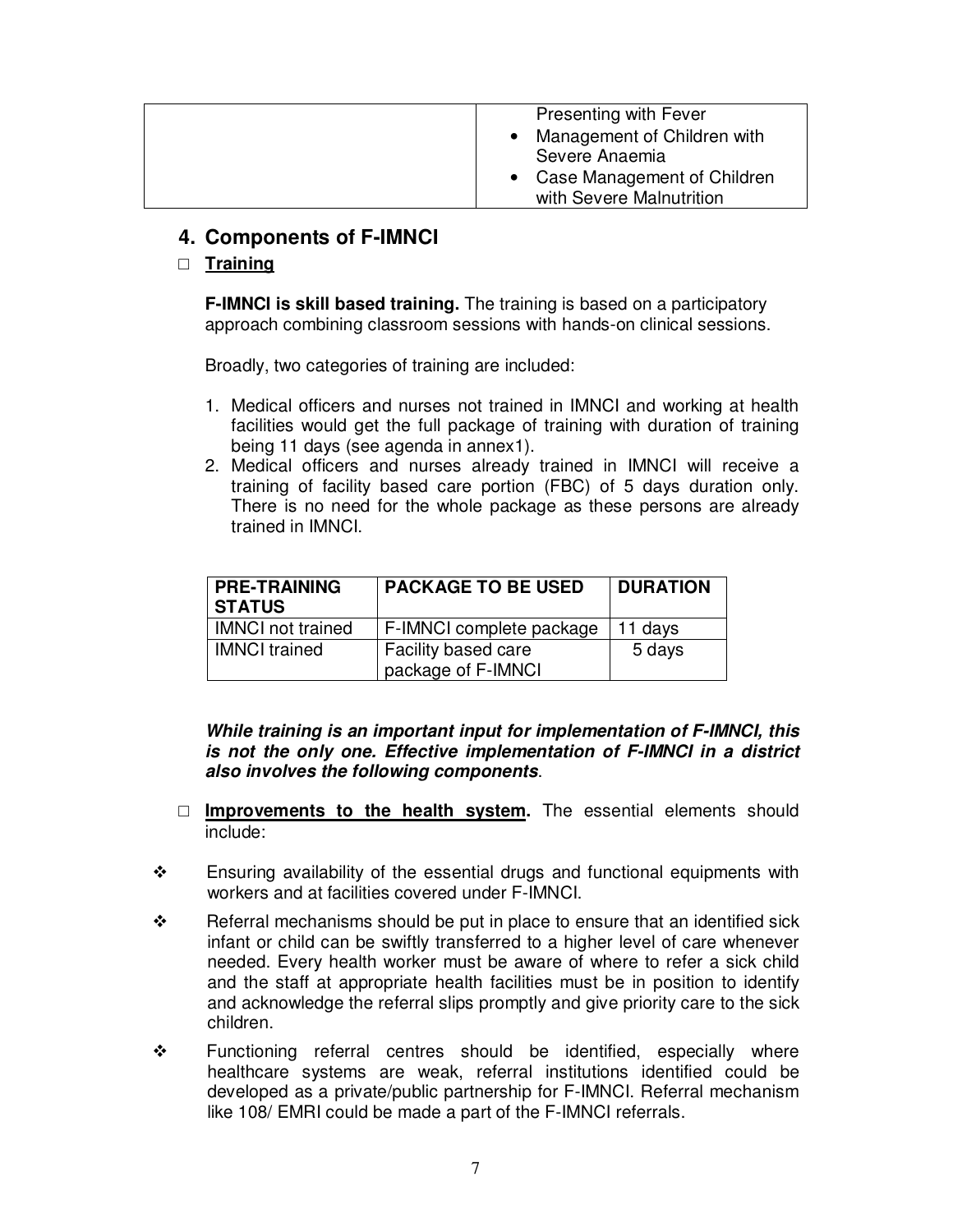| <b>Presenting with Fever</b>             |
|------------------------------------------|
| Management of Children with              |
| Severe Anaemia                           |
| Case Management of Children<br>$\bullet$ |
| with Severe Malnutrition                 |

### **4. Components of F-IMNCI**

### **Training**

**F-IMNCI is skill based training.** The training is based on a participatory approach combining classroom sessions with hands-on clinical sessions.

Broadly, two categories of training are included:

- 1. Medical officers and nurses not trained in IMNCI and working at health facilities would get the full package of training with duration of training being 11 days (see agenda in annex1).
- 2. Medical officers and nurses already trained in IMNCI will receive a training of facility based care portion (FBC) of 5 days duration only. There is no need for the whole package as these persons are already trained in IMNCI.

| <b>PRE-TRAINING</b><br><b>STATUS</b> | <b>PACKAGE TO BE USED</b>                        | <b>DURATION</b> |
|--------------------------------------|--------------------------------------------------|-----------------|
| <b>IMNCI</b> not trained             | F-IMNCI complete package                         | 11 days         |
| <b>IMNCI</b> trained                 | <b>Facility based care</b><br>package of F-IMNCI | 5 days          |

*While training is an important input for implementation of F-IMNCI, this is not the only one. Effective implementation of F-IMNCI in a district also involves the following components*.

- **Improvements to the health system.** The essential elements should include:
- $\cdot \cdot$  Ensuring availability of the essential drugs and functional equipments with workers and at facilities covered under F-IMNCI.
- $\div$  Referral mechanisms should be put in place to ensure that an identified sick infant or child can be swiftly transferred to a higher level of care whenever needed. Every health worker must be aware of where to refer a sick child and the staff at appropriate health facilities must be in position to identify and acknowledge the referral slips promptly and give priority care to the sick children.
- Functioning referral centres should be identified, especially where healthcare systems are weak, referral institutions identified could be developed as a private/public partnership for F-IMNCI. Referral mechanism like 108/ EMRI could be made a part of the F-IMNCI referrals.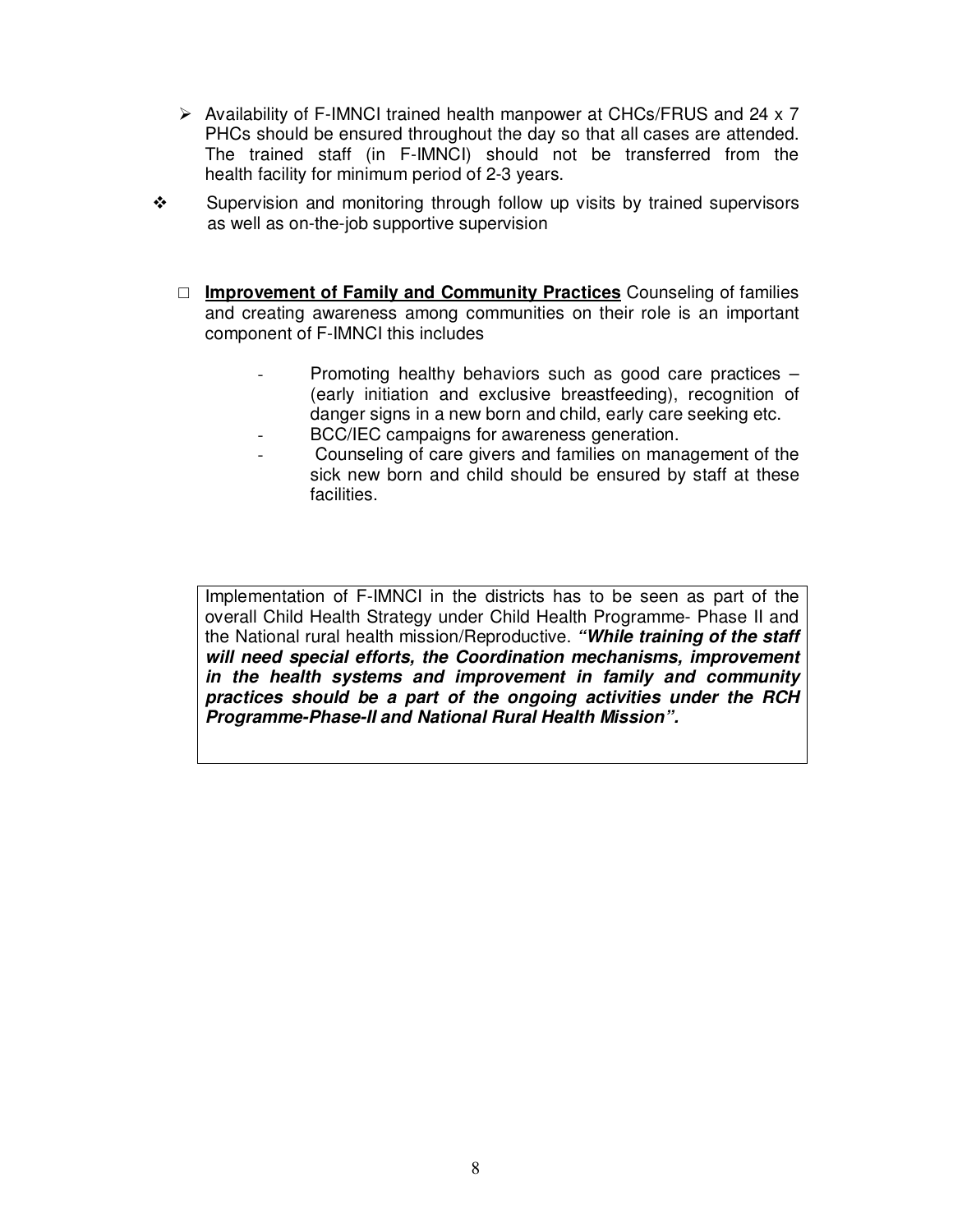- > Availability of F-IMNCI trained health manpower at CHCs/FRUS and 24 x 7 PHCs should be ensured throughout the day so that all cases are attended. The trained staff (in F-IMNCI) should not be transferred from the health facility for minimum period of 2-3 years.
- $\cdot \cdot$  Supervision and monitoring through follow up visits by trained supervisors as well as on-the-job supportive supervision
	- **Improvement of Family and Community Practices** Counseling of families and creating awareness among communities on their role is an important component of F-IMNCI this includes
		- Promoting healthy behaviors such as good care practices  $-$ (early initiation and exclusive breastfeeding), recognition of danger signs in a new born and child, early care seeking etc.
		- BCC/IEC campaigns for awareness generation.
		- Counseling of care givers and families on management of the sick new born and child should be ensured by staff at these facilities.

Implementation of F-IMNCI in the districts has to be seen as part of the overall Child Health Strategy under Child Health Programme- Phase II and the National rural health mission/Reproductive. *"While training of the staff will need special efforts, the Coordination mechanisms, improvement in the health systems and improvement in family and community practices should be a part of the ongoing activities under the RCH Programme-Phase-II and National Rural Health Mission".*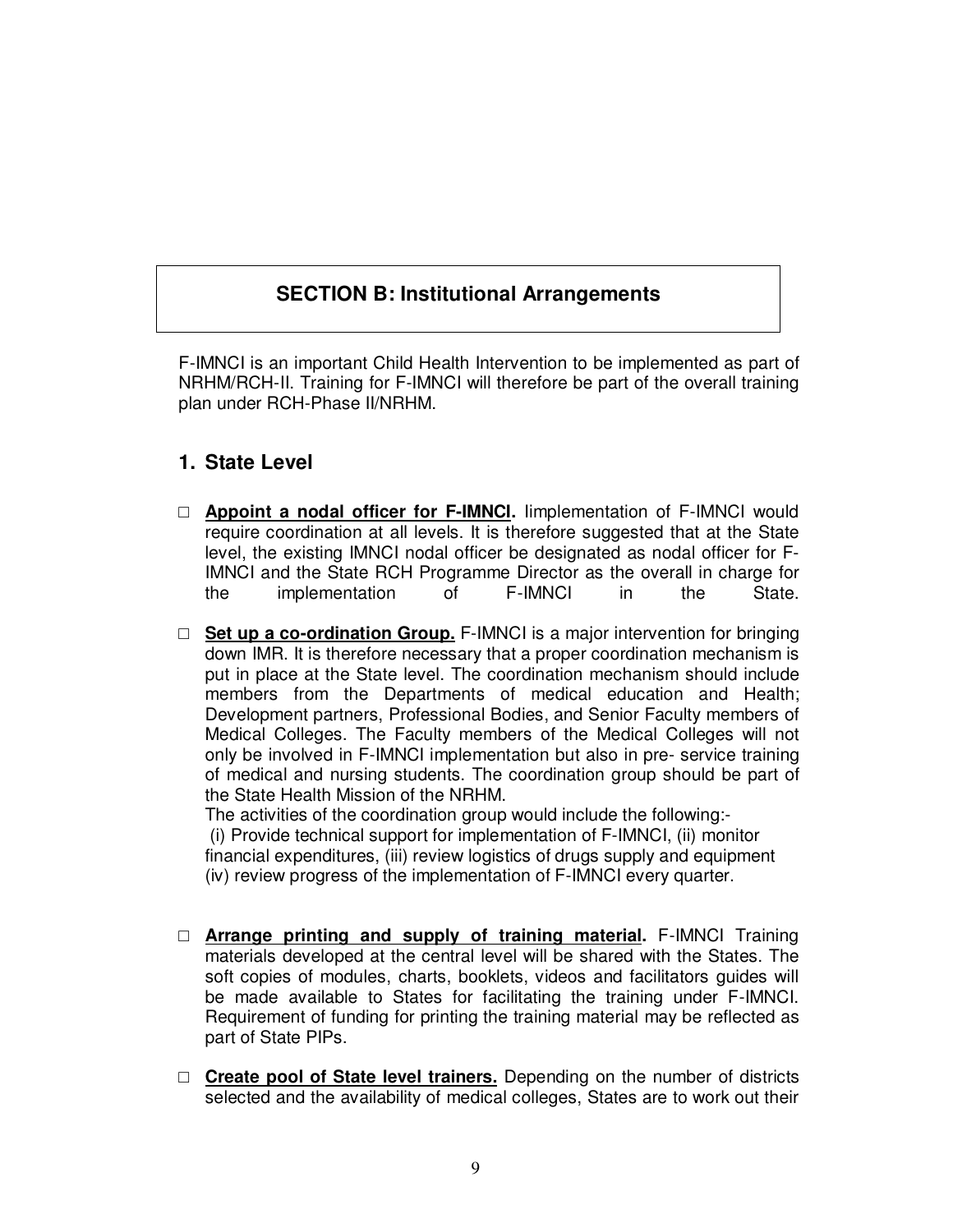## **SECTION B: Institutional Arrangements**

F-IMNCI is an important Child Health Intervention to be implemented as part of NRHM/RCH-II. Training for F-IMNCI will therefore be part of the overall training plan under RCH-Phase II/NRHM.

### **1. State Level**

- **Appoint a nodal officer for F-IMNCI.** Iimplementation of F-IMNCI would require coordination at all levels. It is therefore suggested that at the State level, the existing IMNCI nodal officer be designated as nodal officer for F-IMNCI and the State RCH Programme Director as the overall in charge for the implementation of F-IMNCI in the State.
- **Set up a co-ordination Group.** F-IMNCI is a major intervention for bringing down IMR. It is therefore necessary that a proper coordination mechanism is put in place at the State level. The coordination mechanism should include members from the Departments of medical education and Health; Development partners, Professional Bodies, and Senior Faculty members of Medical Colleges. The Faculty members of the Medical Colleges will not only be involved in F-IMNCI implementation but also in pre- service training of medical and nursing students. The coordination group should be part of the State Health Mission of the NRHM.

The activities of the coordination group would include the following:- (i) Provide technical support for implementation of F-IMNCI, (ii) monitor financial expenditures, (iii) review logistics of drugs supply and equipment (iv) review progress of the implementation of F-IMNCI every quarter.

- **Arrange printing and supply of training material.** F-IMNCI Training materials developed at the central level will be shared with the States. The soft copies of modules, charts, booklets, videos and facilitators guides will be made available to States for facilitating the training under F-IMNCI. Requirement of funding for printing the training material may be reflected as part of State PIPs.
- **Create pool of State level trainers.** Depending on the number of districts selected and the availability of medical colleges, States are to work out their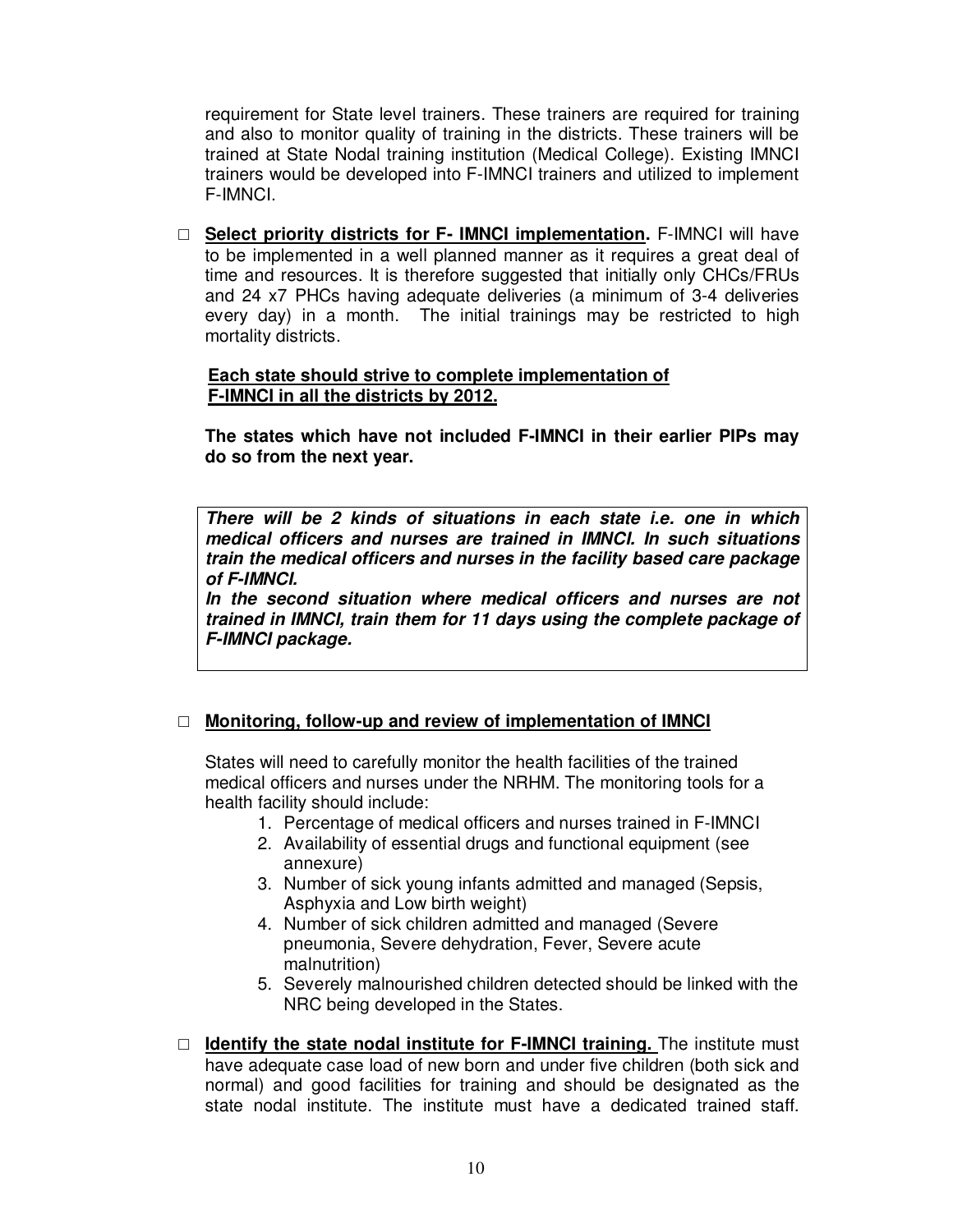requirement for State level trainers. These trainers are required for training and also to monitor quality of training in the districts. These trainers will be trained at State Nodal training institution (Medical College). Existing IMNCI trainers would be developed into F-IMNCI trainers and utilized to implement F-IMNCI.

 **Select priority districts for F- IMNCI implementation.** F-IMNCI will have to be implemented in a well planned manner as it requires a great deal of time and resources. It is therefore suggested that initially only CHCs/FRUs and 24 x7 PHCs having adequate deliveries (a minimum of 3-4 deliveries every day) in a month. The initial trainings may be restricted to high mortality districts.

#### **Each state should strive to complete implementation of F-IMNCI in all the districts by 2012.**

**The states which have not included F-IMNCI in their earlier PIPs may do so from the next year.**

*There will be 2 kinds of situations in each state i.e. one in which medical officers and nurses are trained in IMNCI. In such situations train the medical officers and nurses in the facility based care package of F-IMNCI.*

*In the second situation where medical officers and nurses are not trained in IMNCI, train them for 11 days using the complete package of F-IMNCI package.*

#### **Monitoring, follow-up and review of implementation of IMNCI**

States will need to carefully monitor the health facilities of the trained medical officers and nurses under the NRHM. The monitoring tools for a health facility should include:

- 1. Percentage of medical officers and nurses trained in F-IMNCI
- 2. Availability of essential drugs and functional equipment (see annexure)
- 3. Number of sick young infants admitted and managed (Sepsis, Asphyxia and Low birth weight)
- 4. Number of sick children admitted and managed (Severe pneumonia, Severe dehydration, Fever, Severe acute malnutrition)
- 5. Severely malnourished children detected should be linked with the NRC being developed in the States.
- **Identify the state nodal institute for F-IMNCI training.** The institute must have adequate case load of new born and under five children (both sick and normal) and good facilities for training and should be designated as the state nodal institute. The institute must have a dedicated trained staff.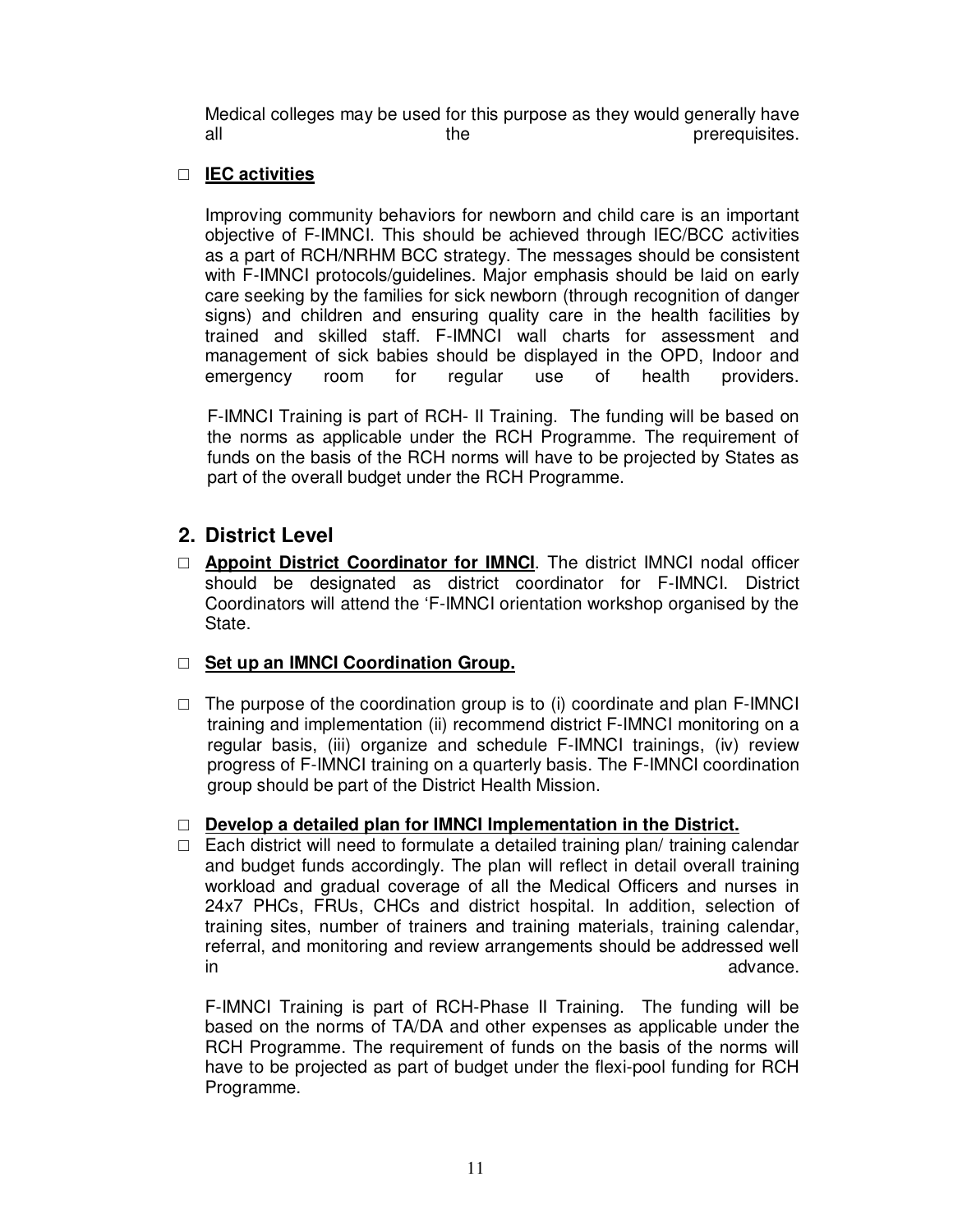Medical colleges may be used for this purpose as they would generally have all the prerequisites.

#### **IEC activities**

Improving community behaviors for newborn and child care is an important objective of F-IMNCI. This should be achieved through IEC/BCC activities as a part of RCH/NRHM BCC strategy. The messages should be consistent with F-IMNCI protocols/guidelines. Major emphasis should be laid on early care seeking by the families for sick newborn (through recognition of danger signs) and children and ensuring quality care in the health facilities by trained and skilled staff. F-IMNCI wall charts for assessment and management of sick babies should be displayed in the OPD, Indoor and emergency room for regular use of health providers.

F-IMNCI Training is part of RCH- II Training. The funding will be based on the norms as applicable under the RCH Programme. The requirement of funds on the basis of the RCH norms will have to be projected by States as part of the overall budget under the RCH Programme.

### **2. District Level**

 **Appoint District Coordinator for IMNCI**. The district IMNCI nodal officer should be designated as district coordinator for F-IMNCI. District Coordinators will attend the 'F-IMNCI orientation workshop organised by the State.

#### **Set up an IMNCI Coordination Group.**

 $\Box$  The purpose of the coordination group is to (i) coordinate and plan F-IMNCI training and implementation (ii) recommend district F-IMNCI monitoring on a regular basis, (iii) organize and schedule F-IMNCI trainings, (iv) review progress of F-IMNCI training on a quarterly basis. The F-IMNCI coordination group should be part of the District Health Mission.

#### **Develop a detailed plan for IMNCI Implementation in the District.**

 $\Box$  Each district will need to formulate a detailed training plan/ training calendar and budget funds accordingly. The plan will reflect in detail overall training workload and gradual coverage of all the Medical Officers and nurses in 24x7 PHCs, FRUs, CHCs and district hospital. In addition, selection of training sites, number of trainers and training materials, training calendar, referral, and monitoring and review arrangements should be addressed well in advance.

F-IMNCI Training is part of RCH-Phase II Training. The funding will be based on the norms of TA/DA and other expenses as applicable under the RCH Programme. The requirement of funds on the basis of the norms will have to be projected as part of budget under the flexi-pool funding for RCH Programme.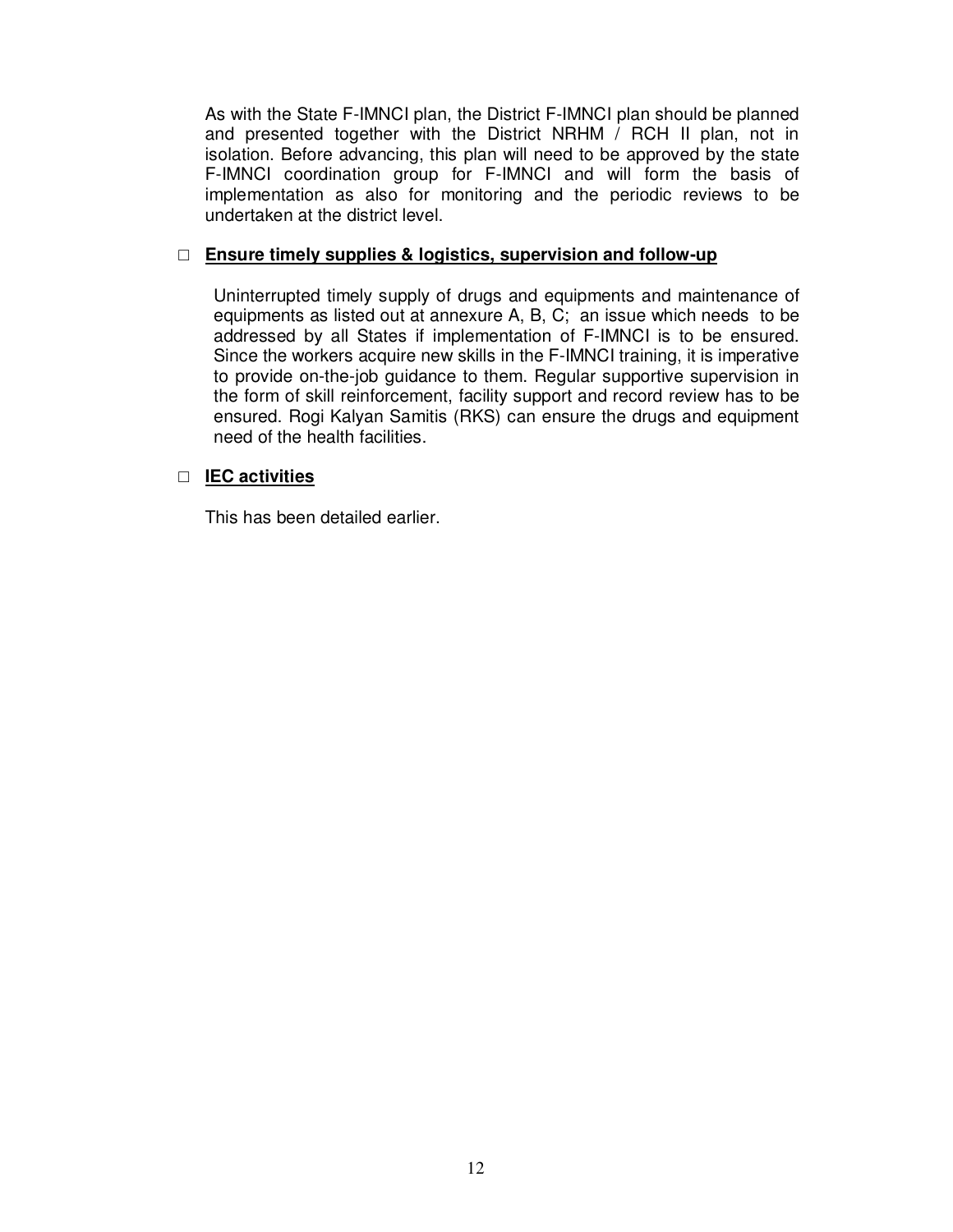As with the State F-IMNCI plan, the District F-IMNCI plan should be planned and presented together with the District NRHM / RCH II plan, not in isolation. Before advancing, this plan will need to be approved by the state F-IMNCI coordination group for F-IMNCI and will form the basis of implementation as also for monitoring and the periodic reviews to be undertaken at the district level.

#### **Ensure timely supplies & logistics, supervision and follow-up**

Uninterrupted timely supply of drugs and equipments and maintenance of equipments as listed out at annexure A, B, C; an issue which needs to be addressed by all States if implementation of F-IMNCI is to be ensured. Since the workers acquire new skills in the F-IMNCI training, it is imperative to provide on-the-job guidance to them. Regular supportive supervision in the form of skill reinforcement, facility support and record review has to be ensured. Rogi Kalyan Samitis (RKS) can ensure the drugs and equipment need of the health facilities.

#### **IEC activities**

This has been detailed earlier.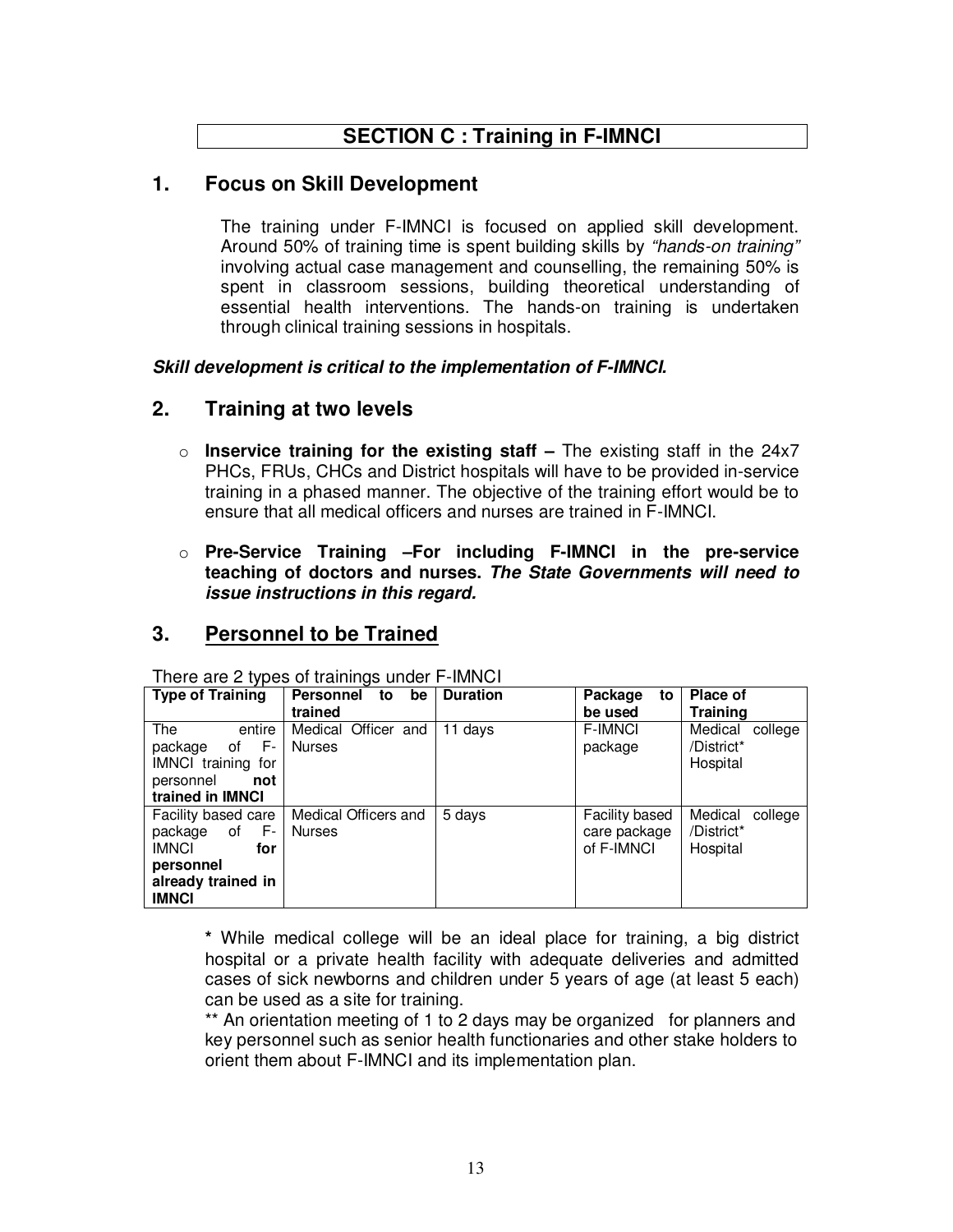# **SECTION C : Training in F-IMNCI**

### **1. Focus on Skill Development**

The training under F-IMNCI is focused on applied skill development. Around 50% of training time is spent building skills by *"hands-on training"* involving actual case management and counselling, the remaining 50% is spent in classroom sessions, building theoretical understanding of essential health interventions. The hands-on training is undertaken through clinical training sessions in hospitals.

*Skill development is critical to the implementation of F-IMNCI.*

### **2. Training at two levels**

- o **Inservice training for the existing staff –** The existing staff in the 24x7 PHCs, FRUs, CHCs and District hospitals will have to be provided in-service training in a phased manner. The objective of the training effort would be to ensure that all medical officers and nurses are trained in F-IMNCI.
- o **Pre-Service Training –For including F-IMNCI in the pre-service teaching of doctors and nurses.** *The State Governments will need to issue instructions in this regard.*

### **3. Personnel to be Trained**

| <b>Type of Training</b>                                                                                              | Personnel<br>be<br>to<br>trained      | <b>Duration</b> | Package<br>to<br>be used                            | <b>Place of</b><br><b>Training</b>           |
|----------------------------------------------------------------------------------------------------------------------|---------------------------------------|-----------------|-----------------------------------------------------|----------------------------------------------|
| The<br>entire<br>F-<br>package<br>οf<br><b>IMNCI</b> training<br>for<br>personnel<br>not<br>trained in <b>IMNCI</b>  | Medical Officer and<br><b>Nurses</b>  | 11 davs         | <b>F-IMNCI</b><br>package                           | Medical<br>college<br>/District*<br>Hospital |
| Facility based care<br>package<br>F-<br>οf<br><b>IMNCI</b><br>for<br>personnel<br>already trained in<br><b>IMNCI</b> | Medical Officers and<br><b>Nurses</b> | 5 days          | <b>Facility based</b><br>care package<br>of F-IMNCI | Medical<br>college<br>/District*<br>Hospital |

There are 2 types of trainings under F-IMNCI

**\*** While medical college will be an ideal place for training, a big district hospital or a private health facility with adequate deliveries and admitted cases of sick newborns and children under 5 years of age (at least 5 each) can be used as a site for training.

\*\* An orientation meeting of 1 to 2 days may be organized for planners and key personnel such as senior health functionaries and other stake holders to orient them about F-IMNCI and its implementation plan.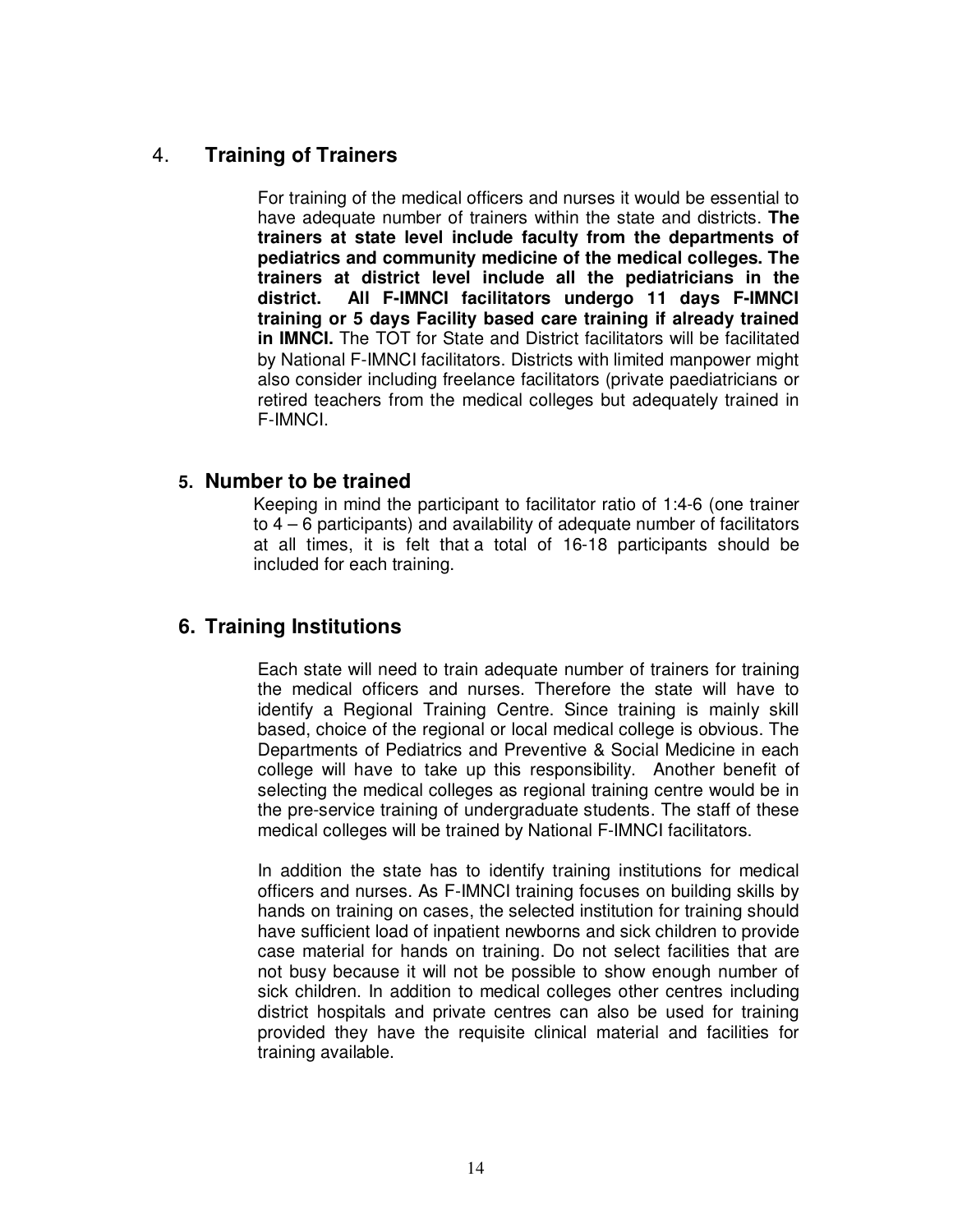### 4. **Training of Trainers**

For training of the medical officers and nurses it would be essential to have adequate number of trainers within the state and districts. **The trainers at state level include faculty from the departments of pediatrics and community medicine of the medical colleges. The trainers at district level include all the pediatricians in the district. All F-IMNCI facilitators undergo 11 days F-IMNCI training or 5 days Facility based care training if already trained in IMNCI.** The TOT for State and District facilitators will be facilitated by National F-IMNCI facilitators. Districts with limited manpower might also consider including freelance facilitators (private paediatricians or retired teachers from the medical colleges but adequately trained in F-IMNCI.

### **5. Number to be trained**

Keeping in mind the participant to facilitator ratio of 1:4-6 (one trainer to 4 – 6 participants) and availability of adequate number of facilitators at all times, it is felt that a total of 16-18 participants should be included for each training.

### **6. Training Institutions**

Each state will need to train adequate number of trainers for training the medical officers and nurses. Therefore the state will have to identify a Regional Training Centre. Since training is mainly skill based, choice of the regional or local medical college is obvious. The Departments of Pediatrics and Preventive & Social Medicine in each college will have to take up this responsibility. Another benefit of selecting the medical colleges as regional training centre would be in the pre-service training of undergraduate students. The staff of these medical colleges will be trained by National F-IMNCI facilitators.

In addition the state has to identify training institutions for medical officers and nurses. As F-IMNCI training focuses on building skills by hands on training on cases, the selected institution for training should have sufficient load of inpatient newborns and sick children to provide case material for hands on training. Do not select facilities that are not busy because it will not be possible to show enough number of sick children. In addition to medical colleges other centres including district hospitals and private centres can also be used for training provided they have the requisite clinical material and facilities for training available.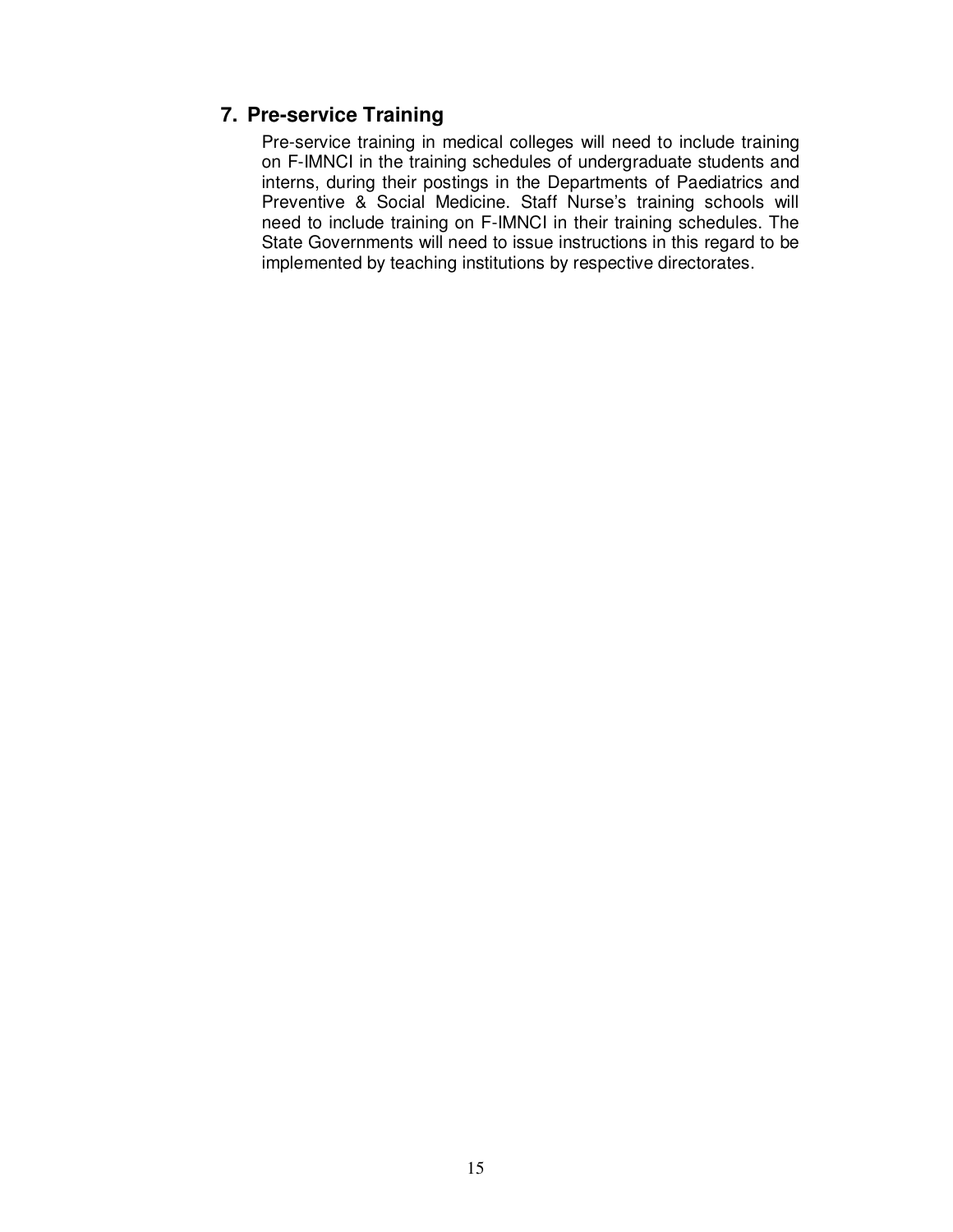### **7. Pre-service Training**

Pre-service training in medical colleges will need to include training on F-IMNCI in the training schedules of undergraduate students and interns, during their postings in the Departments of Paediatrics and Preventive & Social Medicine. Staff Nurse's training schools will need to include training on F-IMNCI in their training schedules. The State Governments will need to issue instructions in this regard to be implemented by teaching institutions by respective directorates.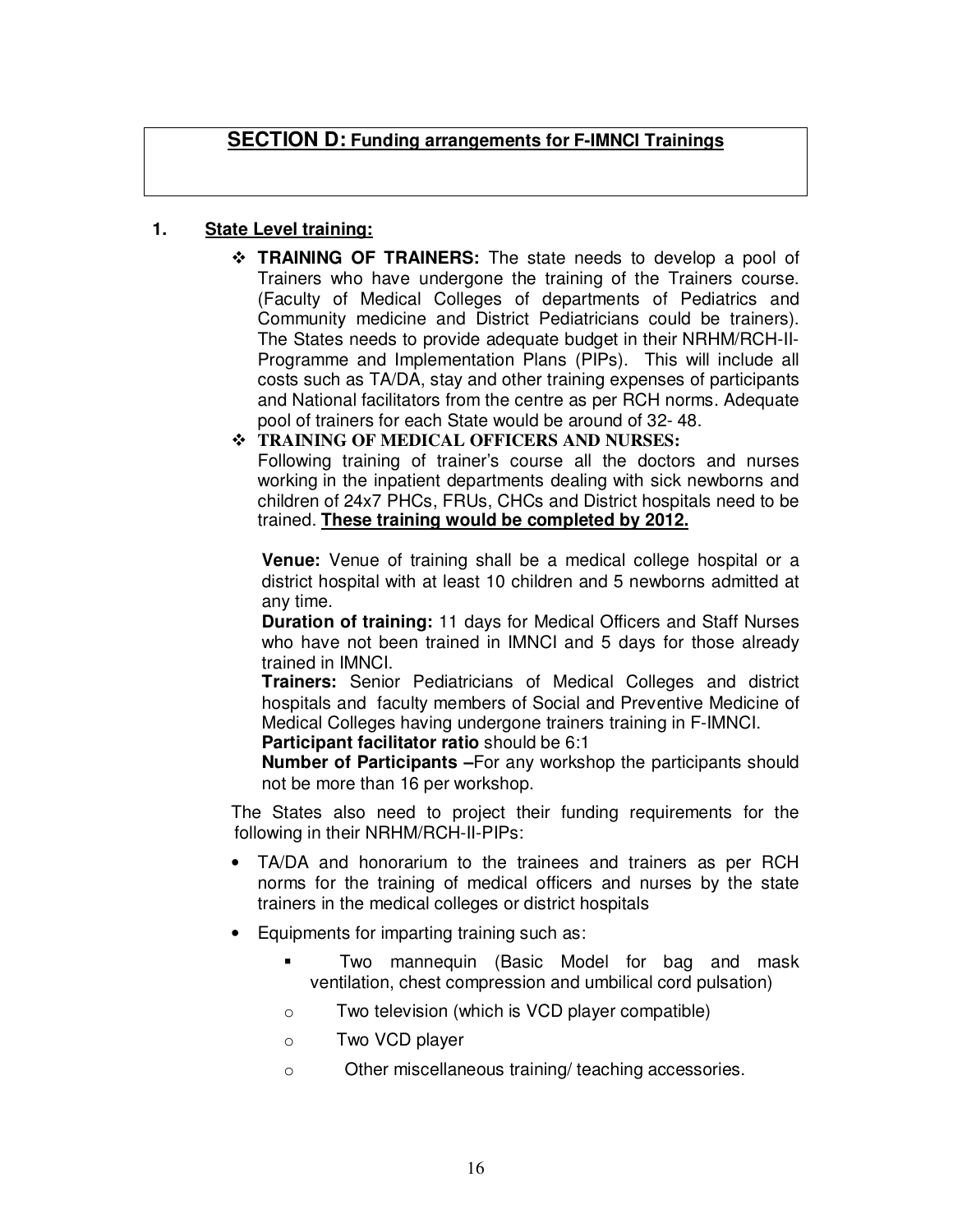### **SECTION D: Funding arrangements for F-IMNCI Trainings**

#### **1. State Level training:**

 **TRAINING OF TRAINERS:** The state needs to develop a pool of Trainers who have undergone the training of the Trainers course. (Faculty of Medical Colleges of departments of Pediatrics and Community medicine and District Pediatricians could be trainers). The States needs to provide adequate budget in their NRHM/RCH-II-Programme and Implementation Plans (PIPs). This will include all costs such as TA/DA, stay and other training expenses of participants and National facilitators from the centre as per RCH norms. Adequate pool of trainers for each State would be around of 32- 48.

#### **TRAINING OF MEDICAL OFFICERS AND NURSES:**

Following training of trainer's course all the doctors and nurses working in the inpatient departments dealing with sick newborns and children of 24x7 PHCs, FRUs, CHCs and District hospitals need to be trained. **These training would be completed by 2012.**

**Venue:** Venue of training shall be a medical college hospital or a district hospital with at least 10 children and 5 newborns admitted at any time.

**Duration of training:** 11 days for Medical Officers and Staff Nurses who have not been trained in IMNCI and 5 days for those already trained in IMNCI.

**Trainers:** Senior Pediatricians of Medical Colleges and district hospitals and faculty members of Social and Preventive Medicine of Medical Colleges having undergone trainers training in F-IMNCI.

**Participant facilitator ratio** should be 6:1

**Number of Participants –**For any workshop the participants should not be more than 16 per workshop.

The States also need to project their funding requirements for the following in their NRHM/RCH-II-PIPs:

- TA/DA and honorarium to the trainees and trainers as per RCH norms for the training of medical officers and nurses by the state trainers in the medical colleges or district hospitals
- Equipments for imparting training such as:
	- Two mannequin (Basic Model for bag and mask ventilation, chest compression and umbilical cord pulsation)
	- o Two television (which is VCD player compatible)
	- o Two VCD player
	- o Other miscellaneous training/ teaching accessories.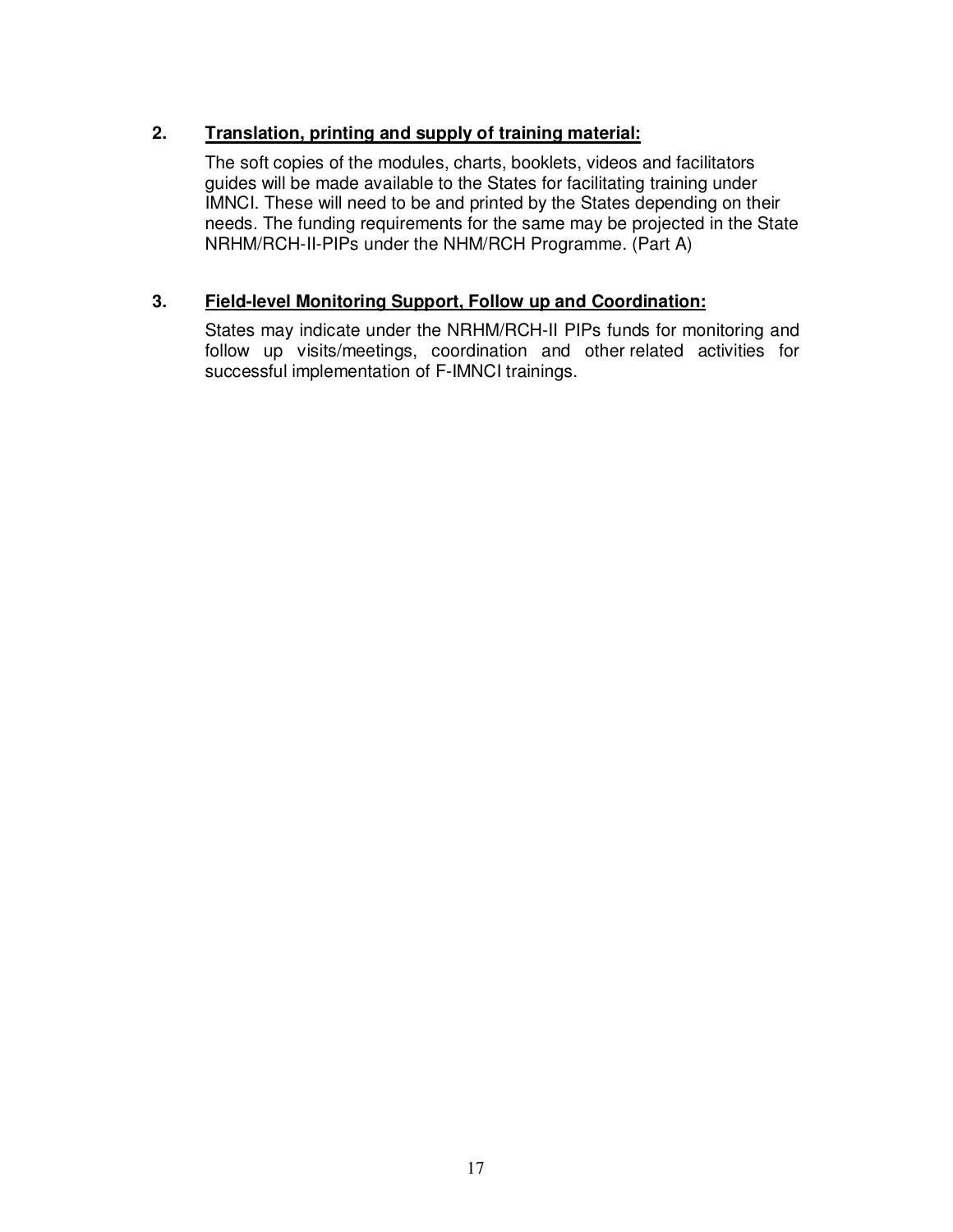### **2. Translation, printing and supply of training material:**

The soft copies of the modules, charts, booklets, videos and facilitators guides will be made available to the States for facilitating training under IMNCI. These will need to be and printed by the States depending on their needs. The funding requirements for the same may be projected in the State NRHM/RCH-II-PIPs under the NHM/RCH Programme. (Part A)

### **3. Field-level Monitoring Support, Follow up and Coordination:**

States may indicate under the NRHM/RCH-II PIPs funds for monitoring and follow up visits/meetings, coordination and other related activities for successful implementation of F-IMNCI trainings.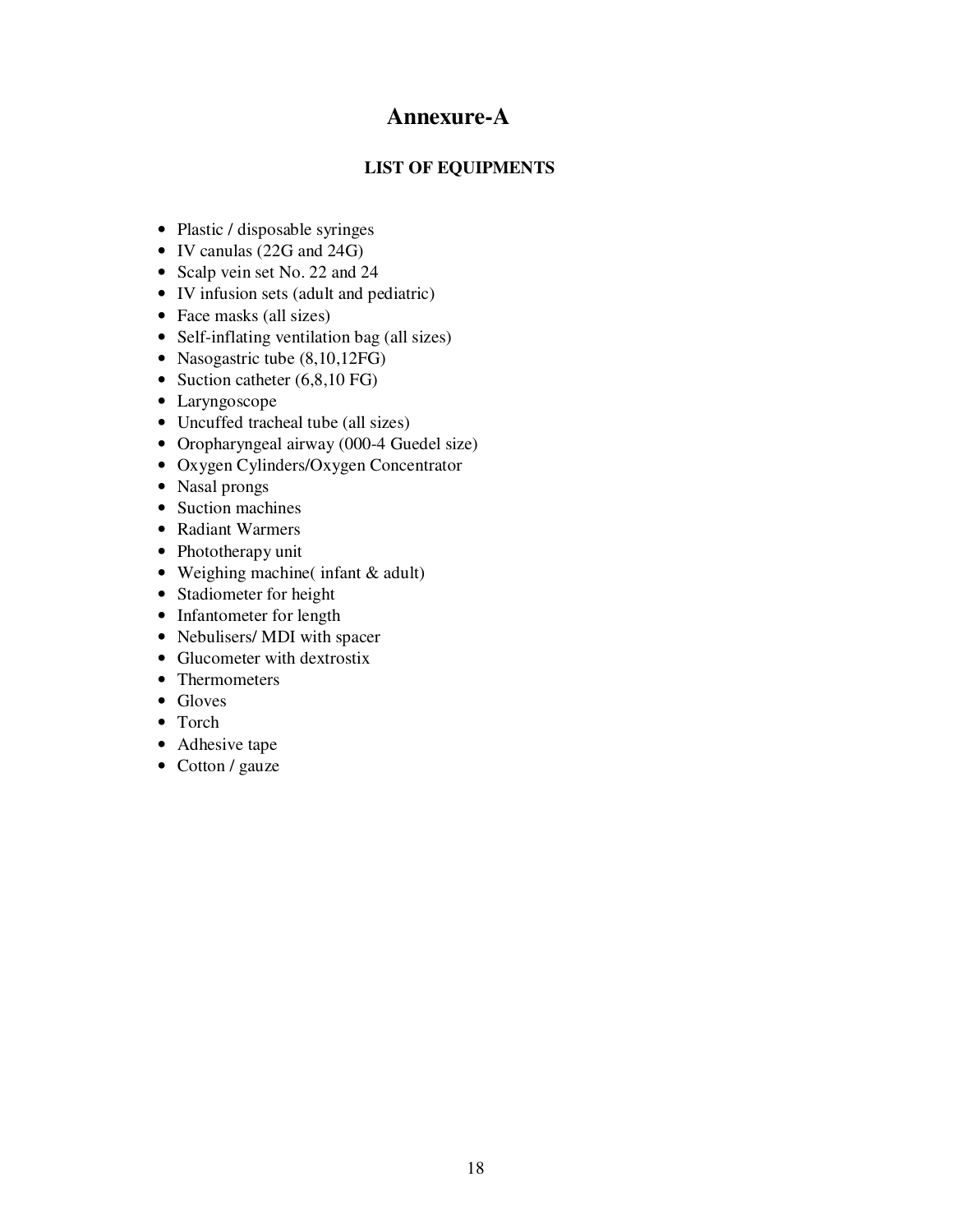# **Annexure-A**

#### **LIST OF EQUIPMENTS**

- Plastic / disposable syringes
- IV canulas (22G and 24G)
- Scalp vein set No. 22 and 24
- IV infusion sets (adult and pediatric)
- Face masks (all sizes)
- Self-inflating ventilation bag (all sizes)
- Nasogastric tube  $(8,10,12FG)$
- Suction catheter (6,8,10 FG)
- Laryngoscope
- Uncuffed tracheal tube (all sizes)
- Oropharyngeal airway (000-4 Guedel size)
- Oxygen Cylinders/Oxygen Concentrator
- Nasal prongs
- Suction machines
- Radiant Warmers
- Phototherapy unit
- Weighing machine( infant & adult)
- Stadiometer for height
- Infantometer for length
- Nebulisers/ MDI with spacer
- Glucometer with dextrostix
- Thermometers
- Gloves
- Torch
- Adhesive tape
- Cotton / gauze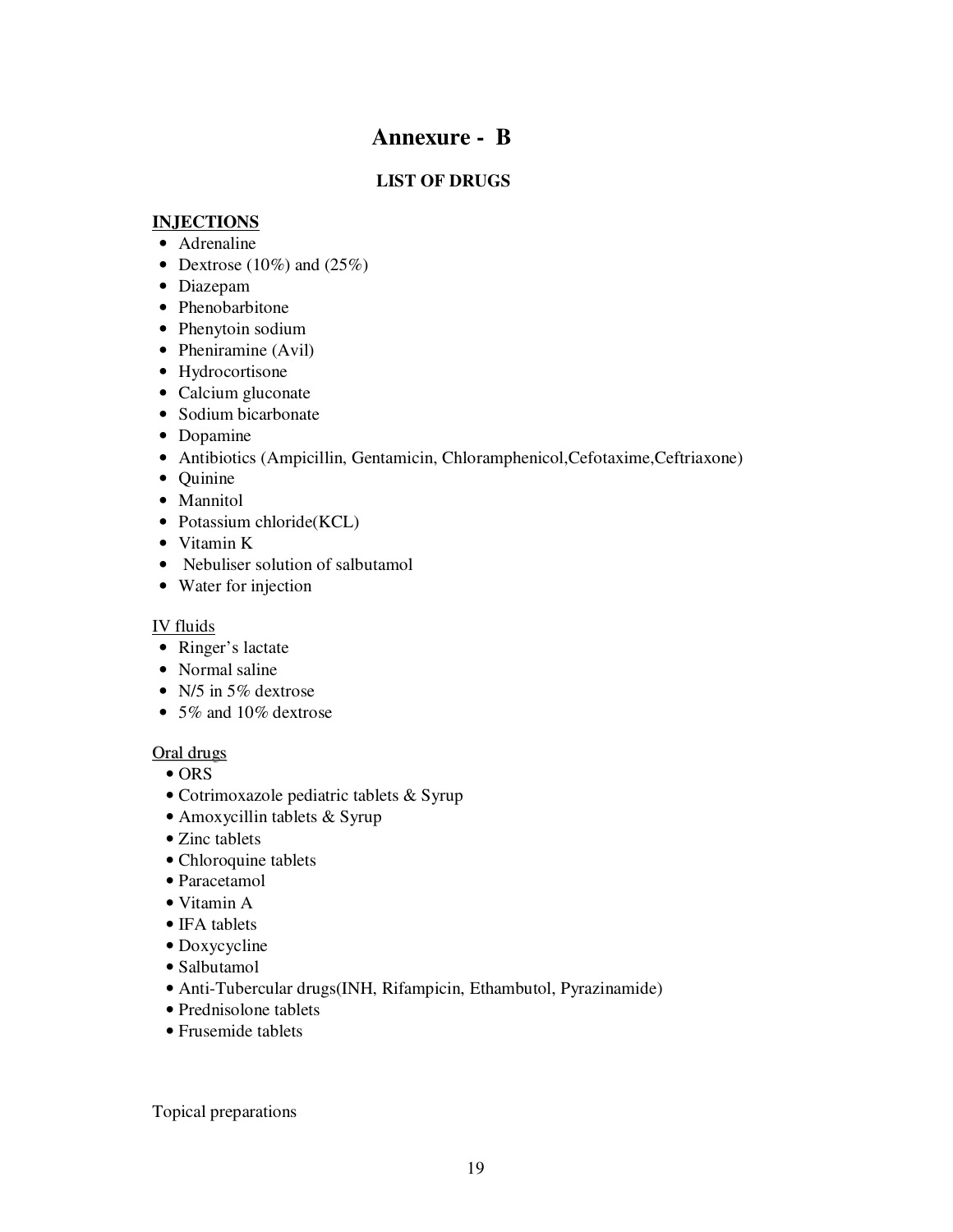# **Annexure - B**

### **LIST OF DRUGS**

#### **INJECTIONS**

- Adrenaline
- Dextrose (10%) and (25%)
- Diazepam
- Phenobarbitone
- Phenytoin sodium
- Pheniramine (Avil)
- Hydrocortisone
- Calcium gluconate
- Sodium bicarbonate
- Dopamine
- Antibiotics (Ampicillin, Gentamicin, Chloramphenicol,Cefotaxime,Ceftriaxone)
- Quinine
- Mannitol
- Potassium chloride(KCL)
- Vitamin K
- Nebuliser solution of salbutamol
- Water for injection

#### IV fluids

- Ringer's lactate
- Normal saline
- N/5 in 5\% dextrose
- 5% and 10% dextrose

#### Oral drugs

- ORS
- Cotrimoxazole pediatric tablets & Syrup
- Amoxycillin tablets & Syrup
- Zinc tablets
- Chloroquine tablets
- Paracetamol
- Vitamin A
- IFA tablets
- Doxycycline
- Salbutamol
- Anti-Tubercular drugs(INH, Rifampicin, Ethambutol, Pyrazinamide)
- Prednisolone tablets
- Frusemide tablets

Topical preparations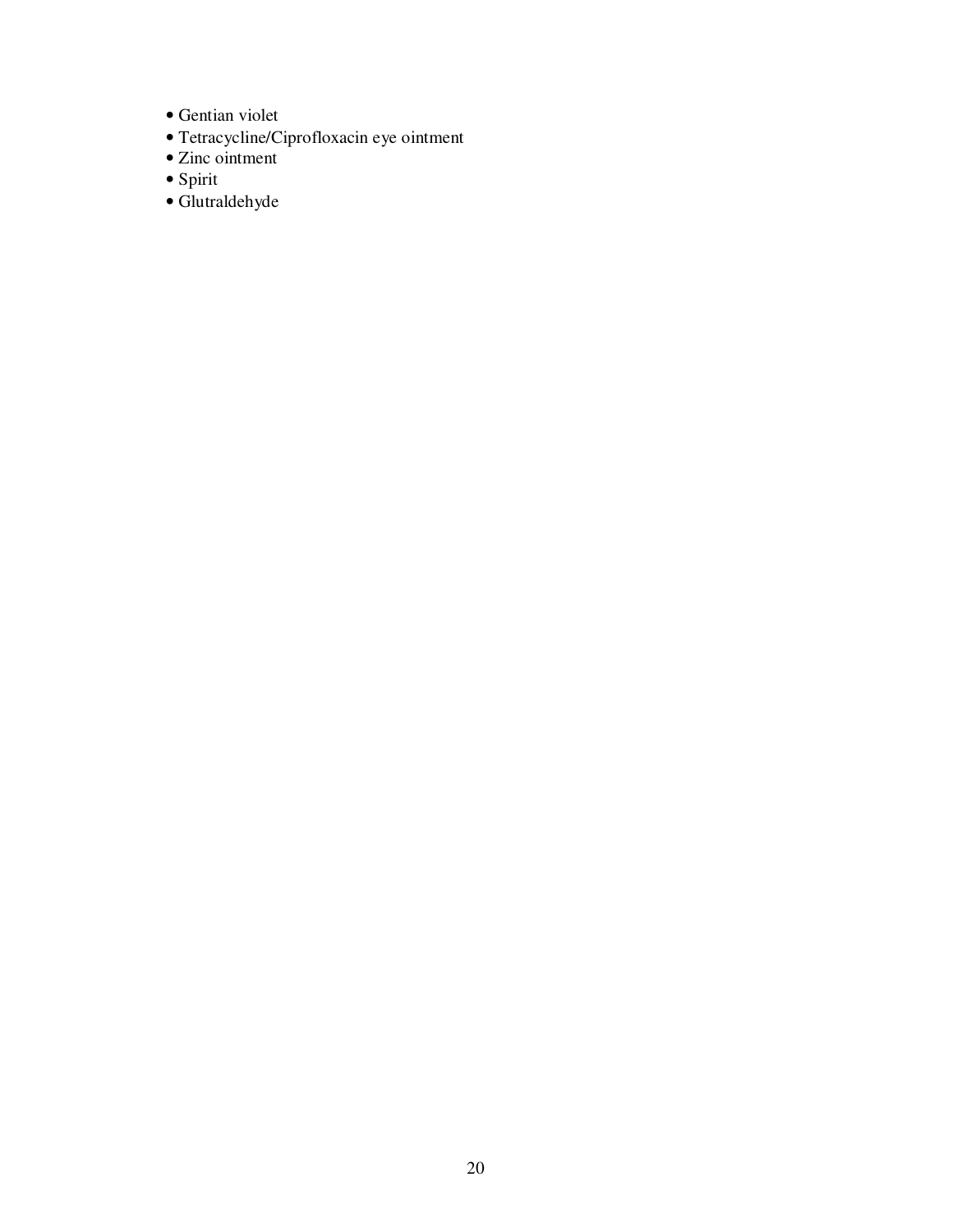- Gentian violet
- Tetracycline/Ciprofloxacin eye ointment
- Zinc ointment
- Spirit
- Glutraldehyde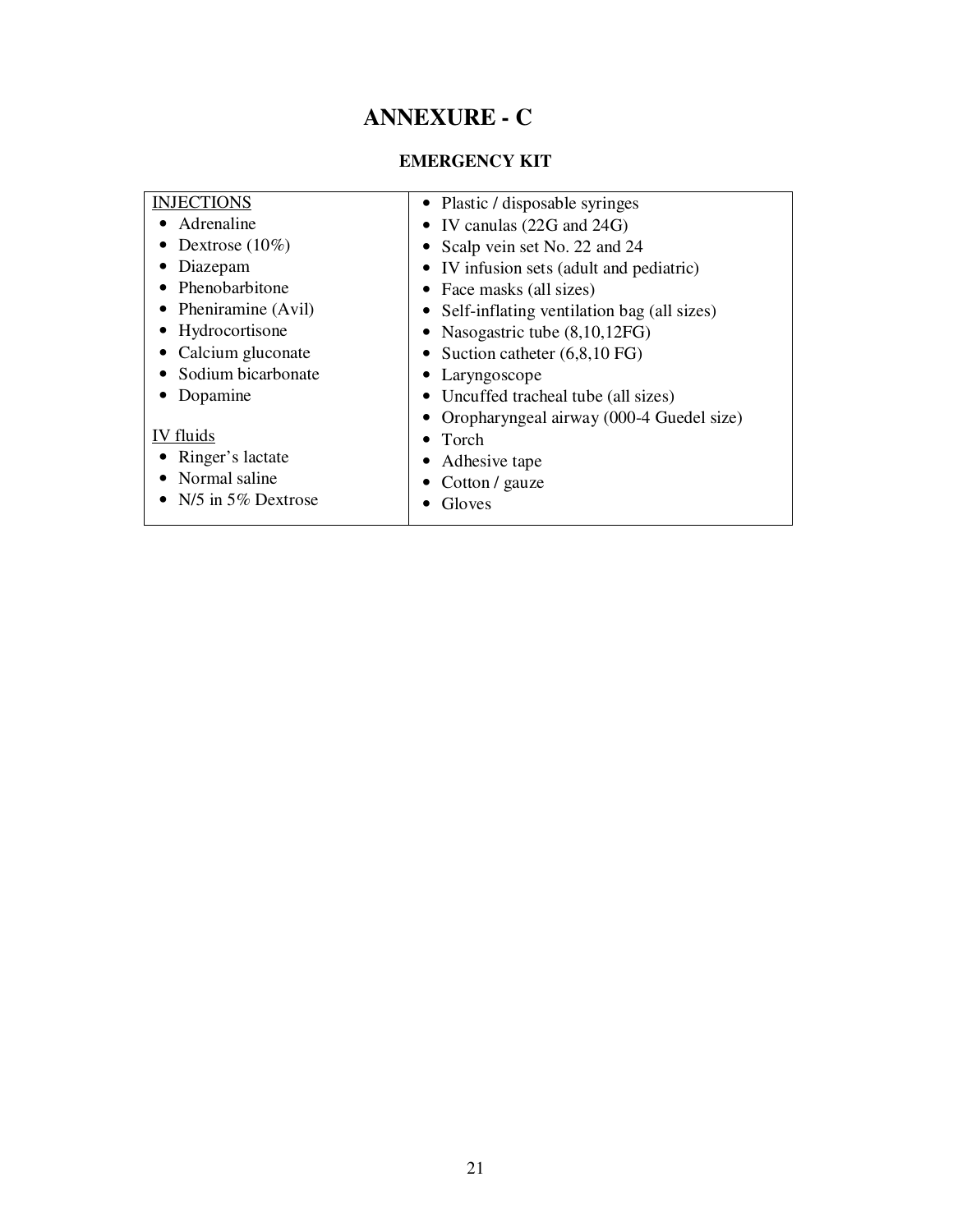# **ANNEXURE - C**

### **EMERGENCY KIT**

| <b>INJECTIONS</b>      | • Plastic / disposable syringes              |
|------------------------|----------------------------------------------|
| Adrenaline             | • IV canulas $(22G \text{ and } 24G)$        |
| Dextrose $(10\%)$      | • Scalp vein set No. 22 and 24               |
| Diazepam               | • IV infusion sets (adult and pediatric)     |
| Phenobarbitone         | • Face masks (all sizes)                     |
| • Pheniramine $(Avil)$ | • Self-inflating ventilation bag (all sizes) |
| Hydrocortisone         | • Nasogastric tube $(8,10,12FG)$             |
| Calcium gluconate      | • Suction catheter $(6, 8, 10)$ FG)          |
| • Sodium bicarbonate   | • Laryngoscope                               |
| Dopamine               | • Uncuffed tracheal tube (all sizes)         |
|                        | • Oropharyngeal airway (000-4 Guedel size)   |
| IV fluids              | Torch<br>$\bullet$                           |
| Ringer's lactate       | Adhesive tape                                |
| Normal saline          | • Cotton / gauze                             |
| $N/5$ in 5% Dextrose   | Gloves                                       |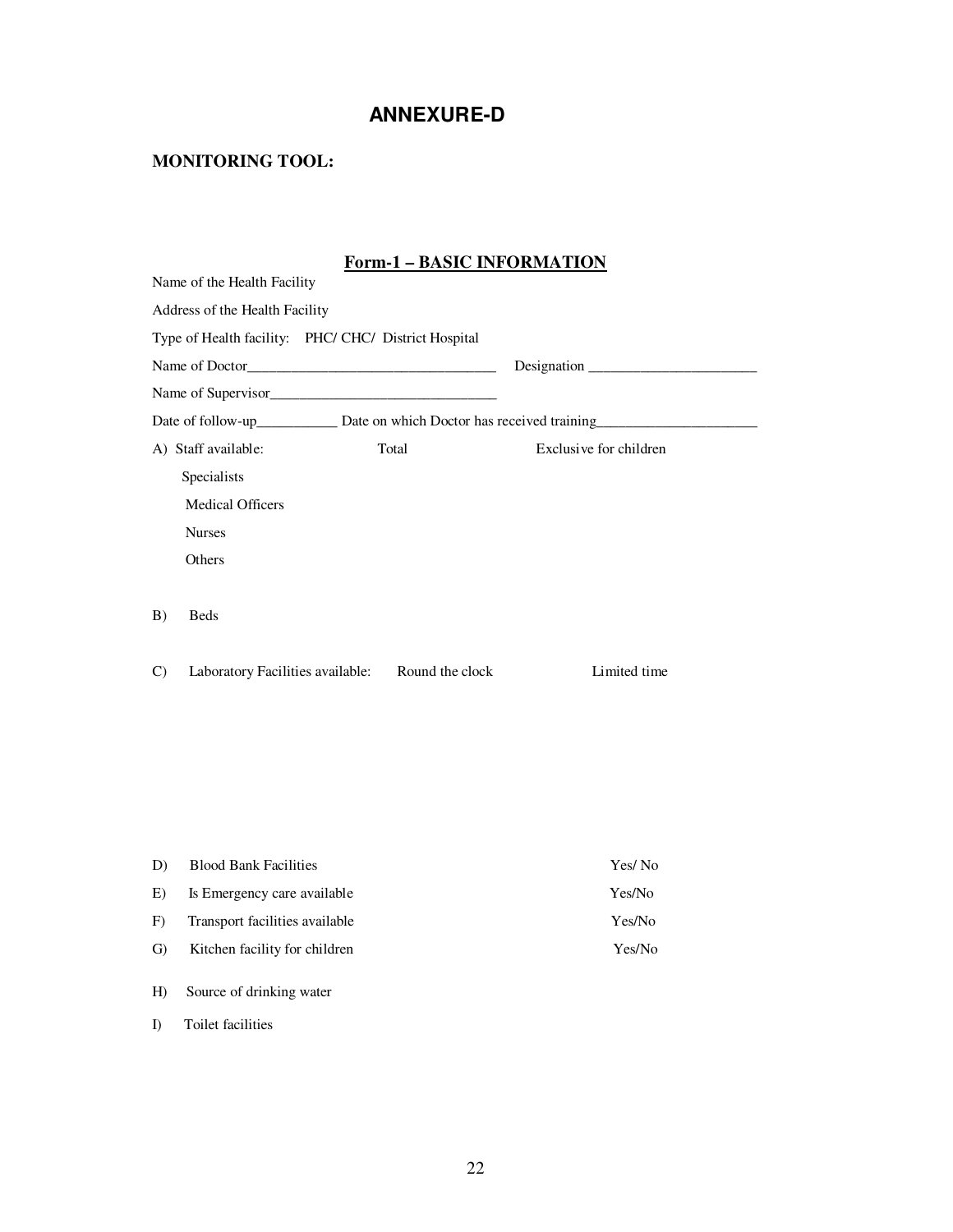### **ANNEXURE-D**

### **MONITORING TOOL:**

### **Form-1 – BASIC INFORMATION**

|                    | <u> FULLET – DANIC INTONWATION</u>                              |                        |  |
|--------------------|-----------------------------------------------------------------|------------------------|--|
|                    | Name of the Health Facility                                     |                        |  |
|                    | Address of the Health Facility                                  |                        |  |
|                    | Type of Health facility: PHC/ CHC/ District Hospital            |                        |  |
|                    |                                                                 | Designation            |  |
|                    |                                                                 |                        |  |
|                    |                                                                 |                        |  |
|                    | Total<br>A) Staff available:                                    | Exclusive for children |  |
|                    | Specialists                                                     |                        |  |
|                    | <b>Medical Officers</b>                                         |                        |  |
|                    | <b>Nurses</b>                                                   |                        |  |
|                    | Others                                                          |                        |  |
| B)<br>$\mathbf{C}$ | <b>Beds</b><br>Laboratory Facilities available: Round the clock | Limited time           |  |
|                    |                                                                 |                        |  |
| D)                 | <b>Blood Bank Facilities</b>                                    | Yes/No                 |  |
| E)                 | Is Emergency care available                                     | Yes/No                 |  |
| F)                 | Transport facilities available                                  | Yes/No                 |  |
| G)                 | Kitchen facility for children                                   | Yes/No                 |  |

H) Source of drinking water

I) Toilet facilities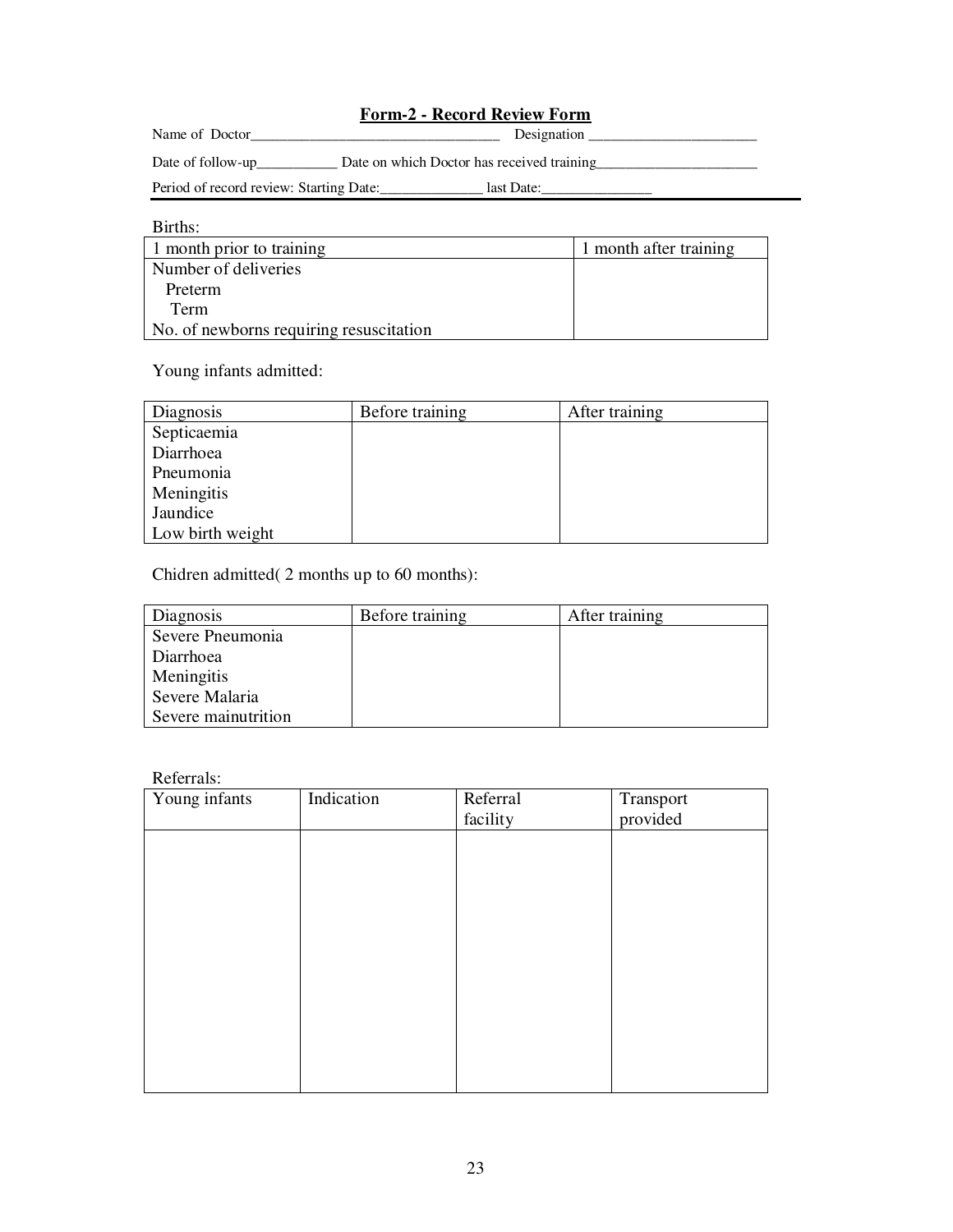### **Form-2 - Record Review Form**

| Name of<br>JOC<br>the contract of the contract of | JΡ' |
|---------------------------------------------------|-----|
|---------------------------------------------------|-----|

Date of follow-up\_\_\_\_\_\_\_\_\_\_\_\_\_\_\_\_\_ Date on which Doctor has received training\_

Period of record review: Starting Date:\_\_\_\_\_\_\_\_\_\_\_\_\_\_\_\_\_\_ last Date:

| Births:                                 |                        |
|-----------------------------------------|------------------------|
| 1 month prior to training               | 1 month after training |
| Number of deliveries                    |                        |
| Preterm                                 |                        |
| Term                                    |                        |
| No. of newborns requiring resuscitation |                        |

Young infants admitted:

| Diagnosis        | Before training | After training |
|------------------|-----------------|----------------|
| Septicaemia      |                 |                |
| Diarrhoea        |                 |                |
| Pneumonia        |                 |                |
| Meningitis       |                 |                |
| Jaundice         |                 |                |
| Low birth weight |                 |                |

Chidren admitted( 2 months up to 60 months):

| Diagnosis           | Before training | After training |
|---------------------|-----------------|----------------|
| Severe Pneumonia    |                 |                |
| Diarrhoea           |                 |                |
| Meningitis          |                 |                |
| Severe Malaria      |                 |                |
| Severe mainutrition |                 |                |

Referrals:

| <i>iversition</i> .<br>Young infants | Indication | Referral | Transport |
|--------------------------------------|------------|----------|-----------|
|                                      |            |          |           |
|                                      |            | facility | provided  |
|                                      |            |          |           |
|                                      |            |          |           |
|                                      |            |          |           |
|                                      |            |          |           |
|                                      |            |          |           |
|                                      |            |          |           |
|                                      |            |          |           |
|                                      |            |          |           |
|                                      |            |          |           |
|                                      |            |          |           |
|                                      |            |          |           |
|                                      |            |          |           |
|                                      |            |          |           |
|                                      |            |          |           |
|                                      |            |          |           |
|                                      |            |          |           |
|                                      |            |          |           |
|                                      |            |          |           |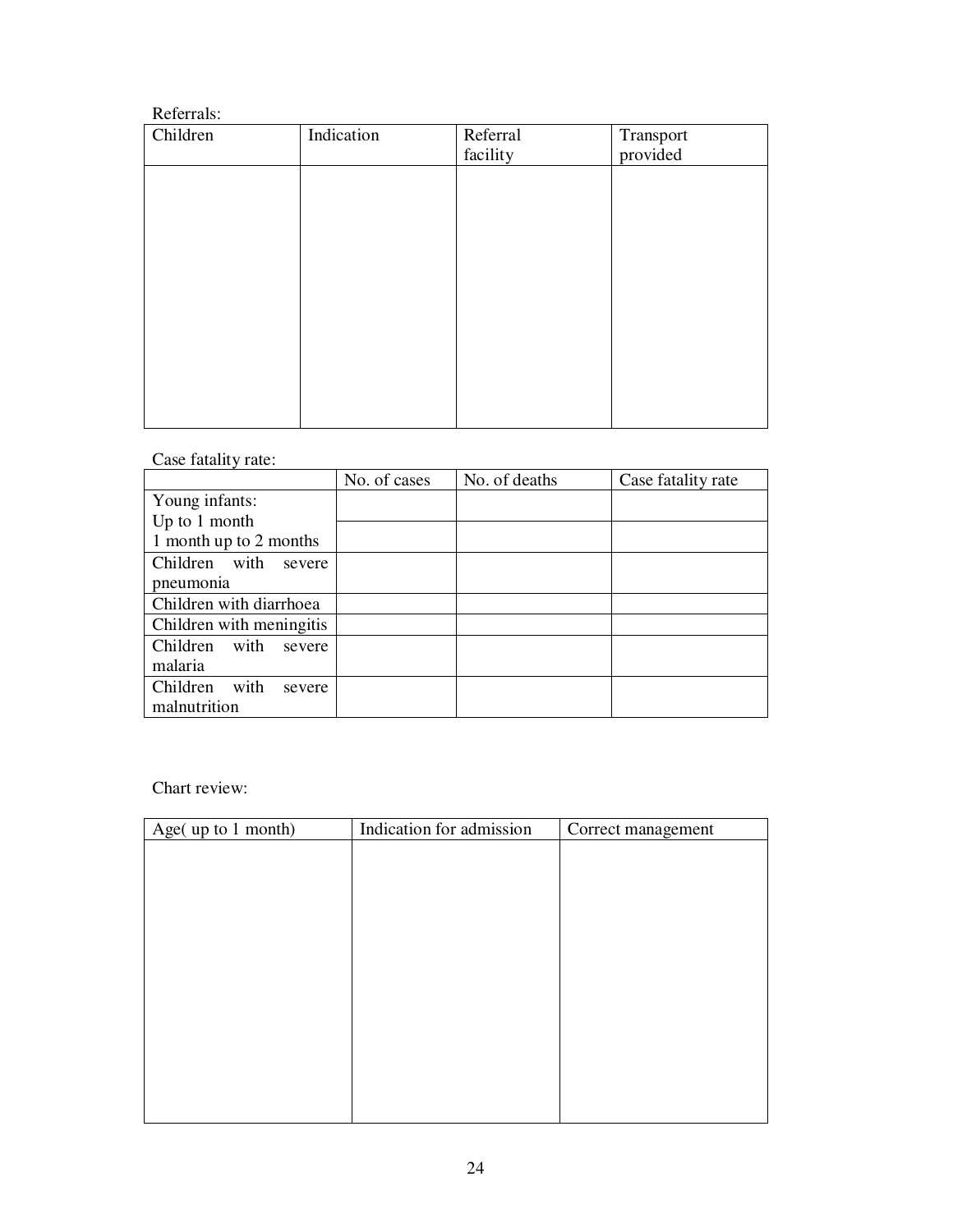#### Referrals:

| Children | Indication | Referral | Transport |
|----------|------------|----------|-----------|
|          |            | facility | provided  |
|          |            |          |           |
|          |            |          |           |
|          |            |          |           |
|          |            |          |           |
|          |            |          |           |
|          |            |          |           |
|          |            |          |           |
|          |            |          |           |
|          |            |          |           |
|          |            |          |           |
|          |            |          |           |
|          |            |          |           |
|          |            |          |           |

### Case fatality rate:

|                            | No. of cases | No. of deaths | Case fatality rate |
|----------------------------|--------------|---------------|--------------------|
| Young infants:             |              |               |                    |
| Up to 1 month              |              |               |                    |
| 1 month up to 2 months     |              |               |                    |
| Children with<br>severe    |              |               |                    |
| pneumonia                  |              |               |                    |
| Children with diarrhoea    |              |               |                    |
| Children with meningitis   |              |               |                    |
| with<br>Children<br>severe |              |               |                    |
| malaria                    |              |               |                    |
| Children<br>with<br>severe |              |               |                    |
| malnutrition               |              |               |                    |

Chart review:

| Age(up to 1 month) | Indication for admission | Correct management |
|--------------------|--------------------------|--------------------|
|                    |                          |                    |
|                    |                          |                    |
|                    |                          |                    |
|                    |                          |                    |
|                    |                          |                    |
|                    |                          |                    |
|                    |                          |                    |
|                    |                          |                    |
|                    |                          |                    |
|                    |                          |                    |
|                    |                          |                    |
|                    |                          |                    |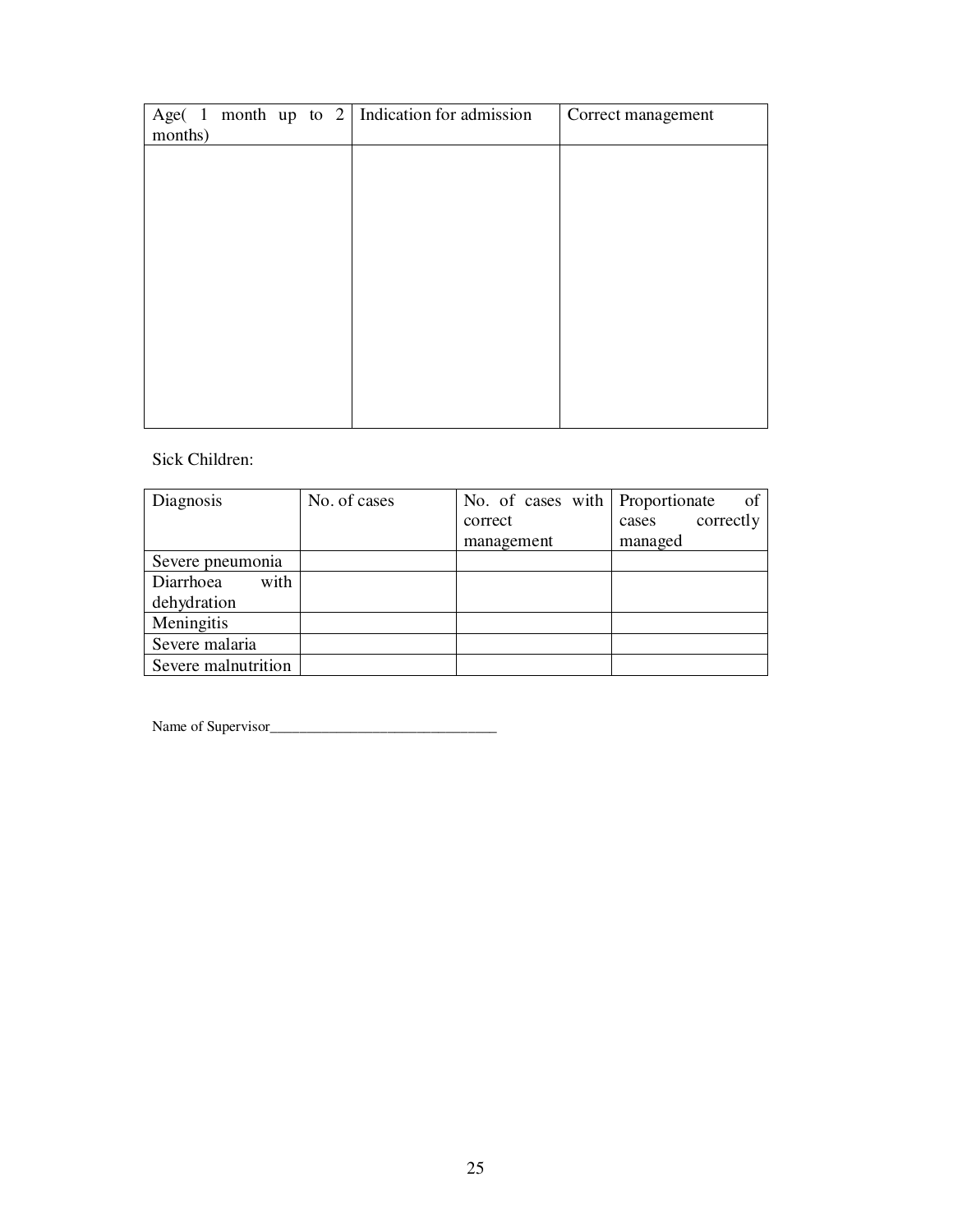|         |  |  | Age( 1 month up to 2   Indication for admission | Correct management |
|---------|--|--|-------------------------------------------------|--------------------|
| months) |  |  |                                                 |                    |
|         |  |  |                                                 |                    |
|         |  |  |                                                 |                    |
|         |  |  |                                                 |                    |
|         |  |  |                                                 |                    |
|         |  |  |                                                 |                    |
|         |  |  |                                                 |                    |
|         |  |  |                                                 |                    |
|         |  |  |                                                 |                    |
|         |  |  |                                                 |                    |
|         |  |  |                                                 |                    |
|         |  |  |                                                 |                    |
|         |  |  |                                                 |                    |
|         |  |  |                                                 |                    |
|         |  |  |                                                 |                    |
|         |  |  |                                                 |                    |

### Sick Children:

| Diagnosis           | No. of cases | No. of cases with Proportionate | of                 |
|---------------------|--------------|---------------------------------|--------------------|
|                     |              | correct                         | correctly<br>cases |
|                     |              | management                      | managed            |
| Severe pneumonia    |              |                                 |                    |
| with<br>Diarrhoea   |              |                                 |                    |
| dehydration         |              |                                 |                    |
| Meningitis          |              |                                 |                    |
| Severe malaria      |              |                                 |                    |
| Severe malnutrition |              |                                 |                    |

Name of Supervisor\_\_\_\_\_\_\_\_\_\_\_\_\_\_\_\_\_\_\_\_\_\_\_\_\_\_\_\_\_\_\_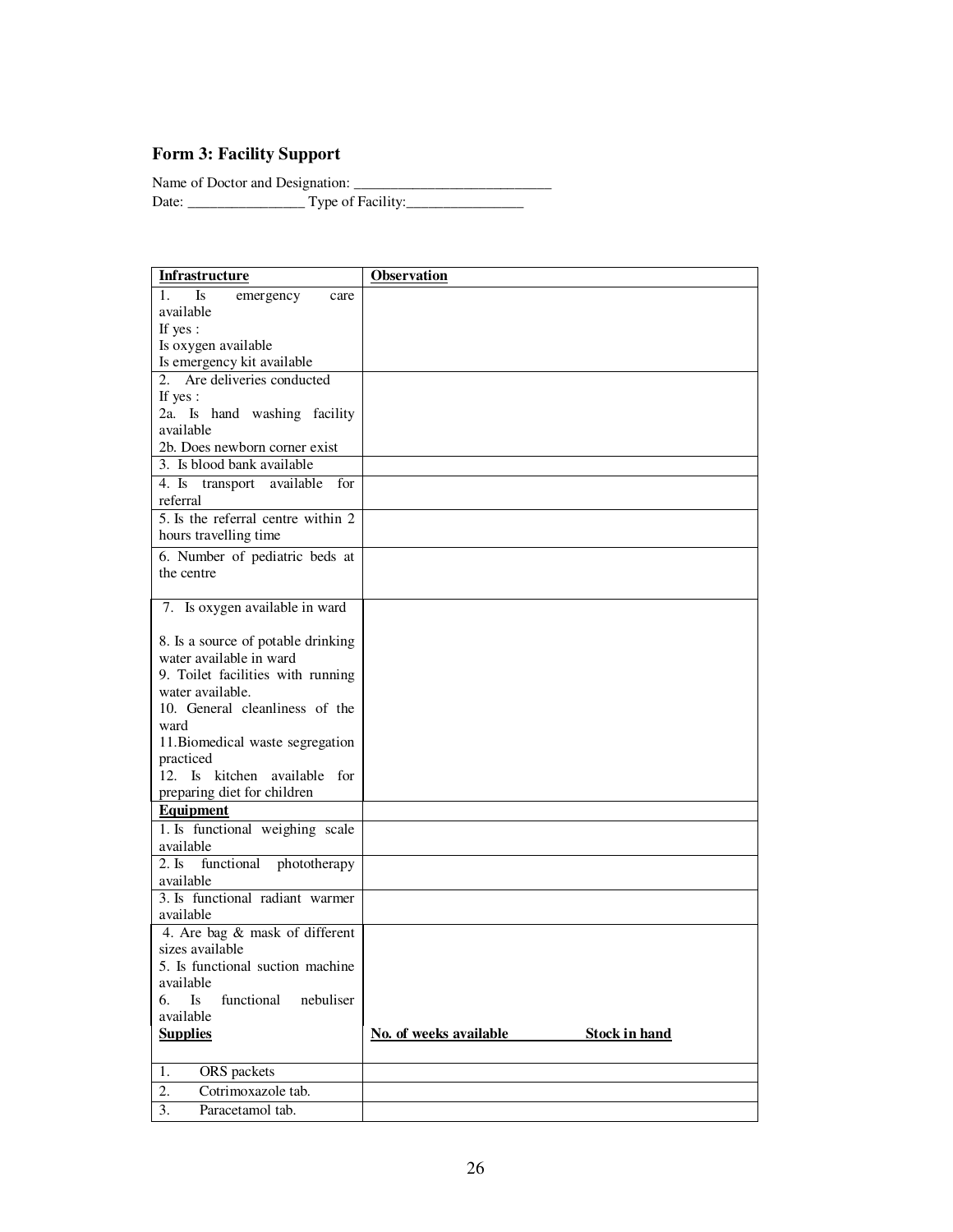### **Form 3: Facility Support**

Name of Doctor and Designation:

Date: \_\_\_\_\_\_\_\_\_\_\_\_\_\_\_\_ Type of Facility:\_\_\_\_\_\_\_\_\_\_\_\_\_\_\_\_

| Infrastructure                            | Observation                                    |
|-------------------------------------------|------------------------------------------------|
| Is<br>$\mathbf{1}$ .<br>emergency<br>care |                                                |
| available                                 |                                                |
| If yes:                                   |                                                |
| Is oxygen available                       |                                                |
| Is emergency kit available                |                                                |
| 2. Are deliveries conducted               |                                                |
| If yes:                                   |                                                |
| 2a. Is hand washing facility              |                                                |
| available                                 |                                                |
| 2b. Does newborn corner exist             |                                                |
| 3. Is blood bank available                |                                                |
| 4. Is transport available for             |                                                |
| referral                                  |                                                |
| 5. Is the referral centre within 2        |                                                |
| hours travelling time                     |                                                |
| 6. Number of pediatric beds at            |                                                |
| the centre                                |                                                |
|                                           |                                                |
| 7. Is oxygen available in ward            |                                                |
|                                           |                                                |
| 8. Is a source of potable drinking        |                                                |
| water available in ward                   |                                                |
| 9. Toilet facilities with running         |                                                |
| water available.                          |                                                |
| 10. General cleanliness of the            |                                                |
| ward                                      |                                                |
| 11. Biomedical waste segregation          |                                                |
| practiced                                 |                                                |
| 12. Is kitchen available for              |                                                |
| preparing diet for children               |                                                |
| <b>Equipment</b>                          |                                                |
| 1. Is functional weighing scale           |                                                |
| available                                 |                                                |
| 2. Is<br>functional<br>phototherapy       |                                                |
| available                                 |                                                |
| 3. Is functional radiant warmer           |                                                |
| available                                 |                                                |
| 4. Are bag & mask of different            |                                                |
| sizes available                           |                                                |
| 5. Is functional suction machine          |                                                |
| available<br>6.<br>Is<br>functional       |                                                |
| nebuliser<br>available                    |                                                |
| <b>Supplies</b>                           | No. of weeks available<br><b>Stock in hand</b> |
|                                           |                                                |
| ORS packets<br>1.                         |                                                |
| 2.<br>Cotrimoxazole tab.                  |                                                |
|                                           |                                                |
| 3.<br>Paracetamol tab.                    |                                                |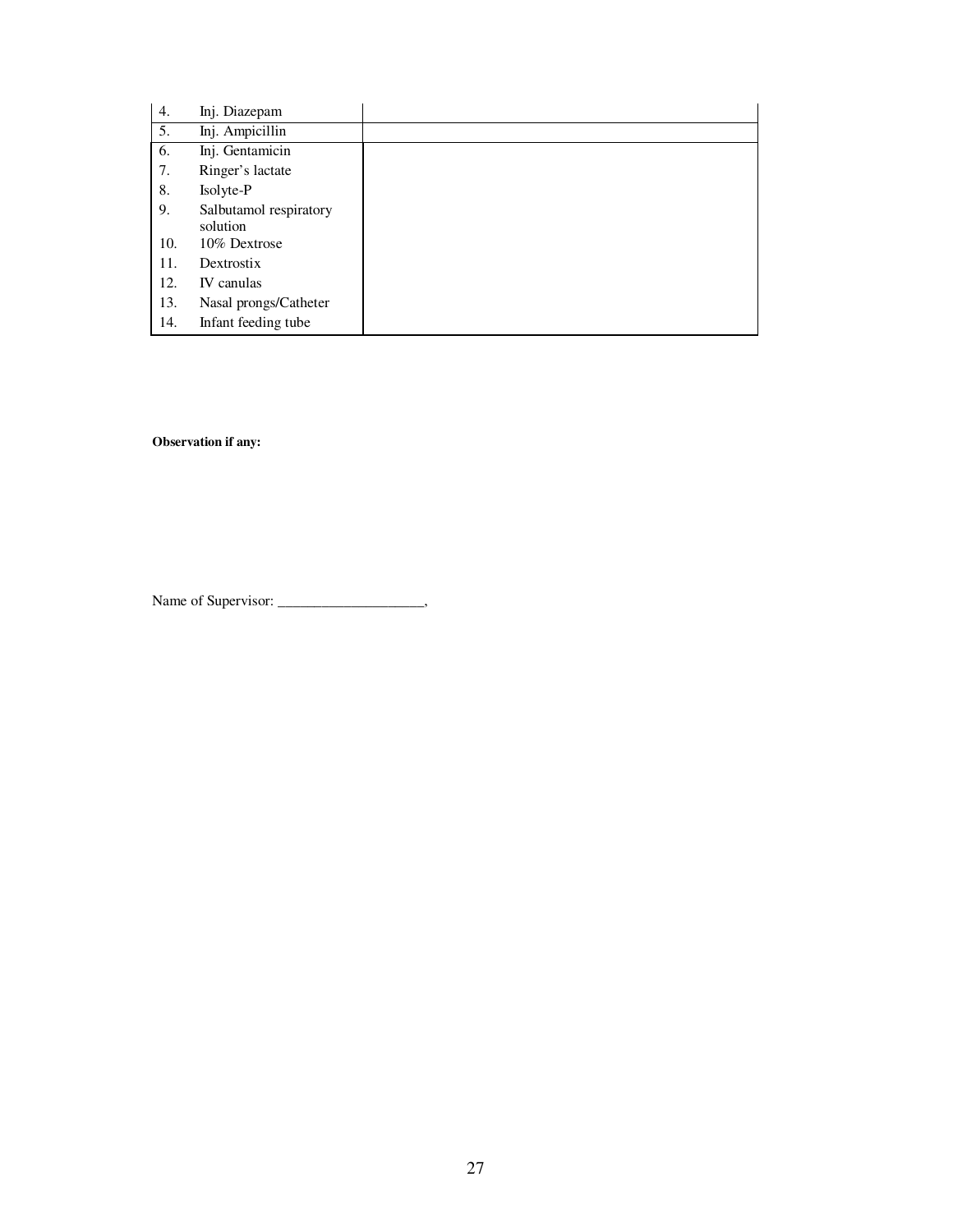| 4.  | Inj. Diazepam                      |  |
|-----|------------------------------------|--|
| 5.  | Inj. Ampicillin                    |  |
| 6.  | Inj. Gentamicin                    |  |
| 7.  | Ringer's lactate                   |  |
| 8.  | Isolyte-P                          |  |
| 9.  | Salbutamol respiratory<br>solution |  |
| 10. | 10% Dextrose                       |  |
| 11. | Dextrostix                         |  |
| 12. | IV canulas                         |  |
| 13. | Nasal prongs/Catheter              |  |
| 14. | Infant feeding tube                |  |

**Observation if any:**

Name of Supervisor: \_\_\_\_\_\_\_\_\_\_\_\_\_\_\_\_\_\_\_\_\_\_\_,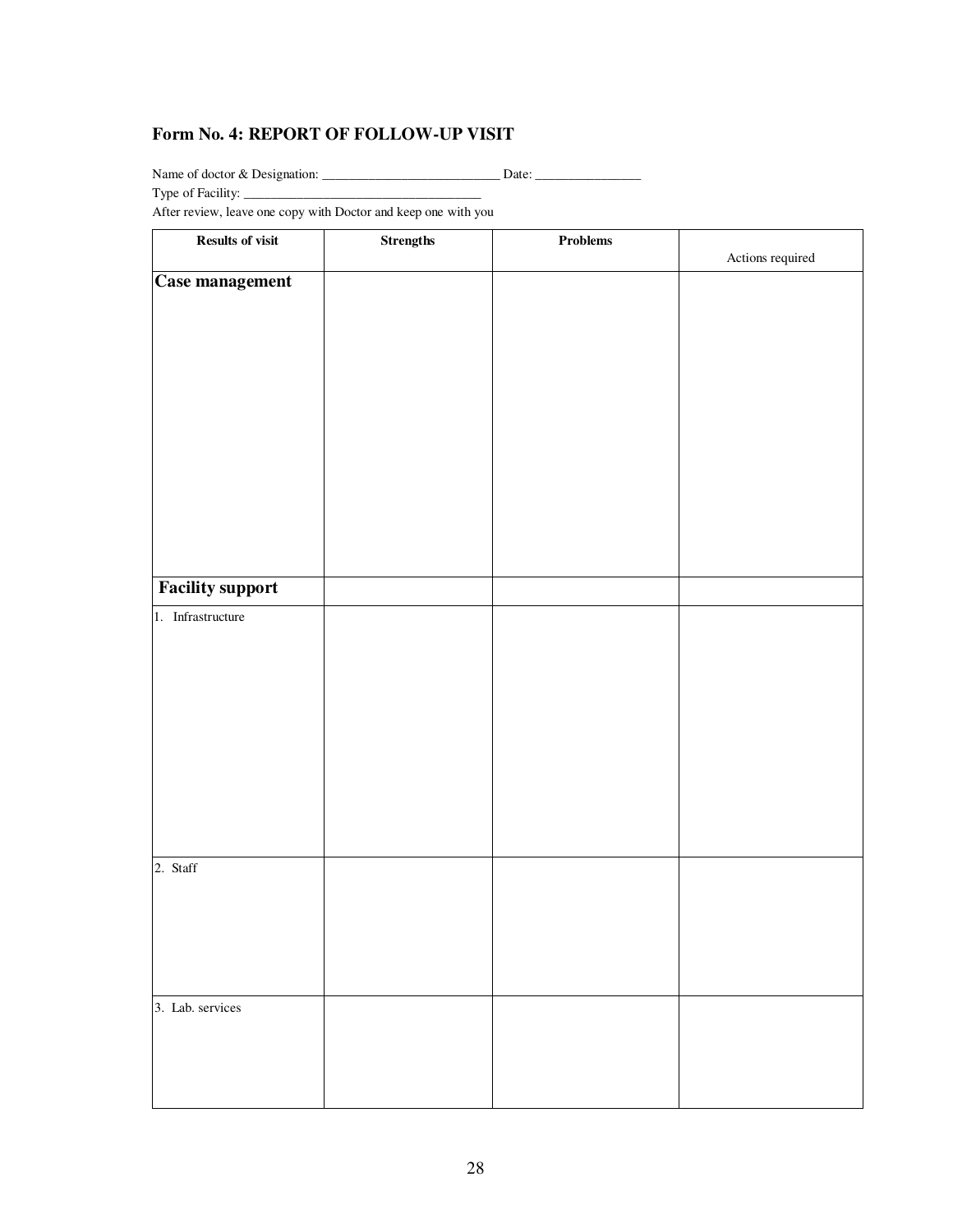#### **Form No. 4: REPORT OF FOLLOW-UP VISIT**

Name of doctor & Designation: \_\_\_\_\_\_\_\_\_\_\_\_\_\_\_\_\_\_\_\_\_\_\_\_\_\_\_ Date: \_\_\_\_\_\_\_\_\_\_\_\_\_\_\_\_

Type of Facility: \_\_\_\_\_\_\_\_\_\_\_\_\_\_\_\_\_\_\_\_\_\_\_\_\_\_\_\_\_\_\_\_\_\_\_\_

After review, leave one copy with Doctor and keep one with you

| <b>Results of visit</b> | $\mbox{Strengths}$ | $\bold{Problems}$ |                  |
|-------------------------|--------------------|-------------------|------------------|
|                         |                    |                   | Actions required |
| <b>Case management</b>  |                    |                   |                  |
|                         |                    |                   |                  |
|                         |                    |                   |                  |
|                         |                    |                   |                  |
|                         |                    |                   |                  |
|                         |                    |                   |                  |
|                         |                    |                   |                  |
|                         |                    |                   |                  |
|                         |                    |                   |                  |
|                         |                    |                   |                  |
|                         |                    |                   |                  |
|                         |                    |                   |                  |
|                         |                    |                   |                  |
|                         |                    |                   |                  |
| <b>Facility support</b> |                    |                   |                  |
|                         |                    |                   |                  |
| 1. Infrastructure       |                    |                   |                  |
|                         |                    |                   |                  |
|                         |                    |                   |                  |
|                         |                    |                   |                  |
|                         |                    |                   |                  |
|                         |                    |                   |                  |
|                         |                    |                   |                  |
|                         |                    |                   |                  |
|                         |                    |                   |                  |
|                         |                    |                   |                  |
|                         |                    |                   |                  |
| 2. Staff                |                    |                   |                  |
|                         |                    |                   |                  |
|                         |                    |                   |                  |
|                         |                    |                   |                  |
|                         |                    |                   |                  |
|                         |                    |                   |                  |
|                         |                    |                   |                  |
| 3. Lab. services        |                    |                   |                  |
|                         |                    |                   |                  |
|                         |                    |                   |                  |
|                         |                    |                   |                  |
|                         |                    |                   |                  |